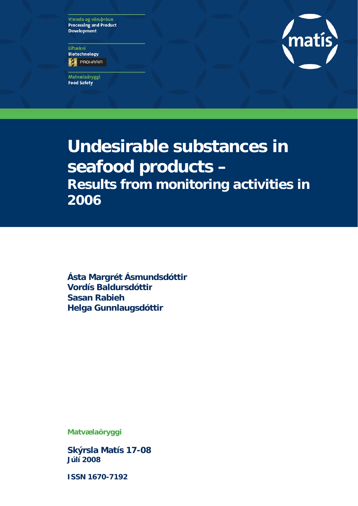Vinnsla og vöruþróun **Processing and Product Development** 

Líftækni **Biotechnology ES** PROHARIA

Matvælaöryggi **Food Safety** 



# **Undesirable substances in seafood products – Results from monitoring activities in 2006**

**Ásta Margrét Ásmundsdóttir Vordís Baldursdóttir Sasan Rabieh Helga Gunnlaugsdóttir** 

**Matvælaöryggi** 

**Skýrsla Matís 17-08 Júlí 2008** 

**ISSN 1670-7192**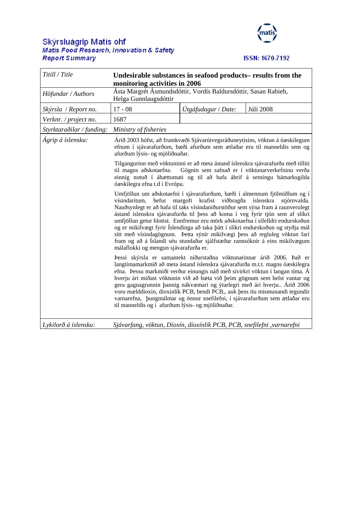## Skýrsluágrip Matís ohf<br>Matis Food Research, Innovation & Safety **Report Summary**



## ISSN: 1670-7192

| Titill / Title            | Undesirable substances in seafood products– results from the<br>monitoring activities in 2006                                                                                                                                                                                                                                                                                                                                                                                                                                                                                                                                                                      |                                                                                                                                                                                                                                                                                                             |                                                                                                                                                                                                               |  |  |  |  |
|---------------------------|--------------------------------------------------------------------------------------------------------------------------------------------------------------------------------------------------------------------------------------------------------------------------------------------------------------------------------------------------------------------------------------------------------------------------------------------------------------------------------------------------------------------------------------------------------------------------------------------------------------------------------------------------------------------|-------------------------------------------------------------------------------------------------------------------------------------------------------------------------------------------------------------------------------------------------------------------------------------------------------------|---------------------------------------------------------------------------------------------------------------------------------------------------------------------------------------------------------------|--|--|--|--|
| Höfundar / Authors        | Ásta Margrét Ásmundsdóttir, Vordís Baldursdóttir, Sasan Rabieh,<br>Helga Gunnlaugsdóttir                                                                                                                                                                                                                                                                                                                                                                                                                                                                                                                                                                           |                                                                                                                                                                                                                                                                                                             |                                                                                                                                                                                                               |  |  |  |  |
| Skýrsla / Report no.      | $17 - 08$                                                                                                                                                                                                                                                                                                                                                                                                                                                                                                                                                                                                                                                          | Útgáfudagur / Date:                                                                                                                                                                                                                                                                                         | <b>Júlí 2008</b>                                                                                                                                                                                              |  |  |  |  |
| Verknr. / project no.     | 1687                                                                                                                                                                                                                                                                                                                                                                                                                                                                                                                                                                                                                                                               |                                                                                                                                                                                                                                                                                                             |                                                                                                                                                                                                               |  |  |  |  |
| Styrktaraðilar / funding: | Ministry of fisheries                                                                                                                                                                                                                                                                                                                                                                                                                                                                                                                                                                                                                                              |                                                                                                                                                                                                                                                                                                             |                                                                                                                                                                                                               |  |  |  |  |
| Ágrip á íslensku:         | afurðum lýsis- og mjöliðnaðar.                                                                                                                                                                                                                                                                                                                                                                                                                                                                                                                                                                                                                                     |                                                                                                                                                                                                                                                                                                             | Árið 2003 hófst, að frumkvæði Sjávarútvegsráðuneytisins, vöktun á óæskilegum<br>efnum í sjávarafurðum, bæði afurðum sem ætlaðar eru til manneldis sem og                                                      |  |  |  |  |
|                           | til magns aðskotaefna.<br>óæskilegra efna t.d í Evrópu.                                                                                                                                                                                                                                                                                                                                                                                                                                                                                                                                                                                                            |                                                                                                                                                                                                                                                                                                             | Tilgangurinn með vöktuninni er að meta ástand íslenskra sjávarafurða með tilliti<br>Gögnin sem safnað er í vöktunarverkefninu verða<br>einnig notuð í áhættumati og til að hafa áhrif á setningu hámarksgilda |  |  |  |  |
|                           | Umfjöllun um aðskotaefni í sjávarafurðum, bæði í almennum fjölmiðlum og í<br>vísindaritum,<br>hefur<br>margoft krafist viðbragða íslenskra<br>stjórnvalda.<br>Nauðsynlegt er að hafa til taks vísindaniðurstöður sem sýna fram á raunverulegt<br>ástand íslenskra sjávarafurða til þess að koma í veg fyrir tjón sem af slíkri<br>umfjöllun getur hlotist. Ennfremur eru mörk aðskotaefna í sífelldri endurskoðun<br>og er mikilvægt fyrir Íslendinga að taka þátt í slíkri endurskoðun og styðja mál<br>sitt með vísindagögnum. Þetta sýnir mikilvægi þess að regluleg vöktun fari<br>fram og að á Íslandi séu stundaðar sjálfstæðar rannsóknir á eins mikilvægum |                                                                                                                                                                                                                                                                                                             |                                                                                                                                                                                                               |  |  |  |  |
|                           | málaflokki og mengun sjávarafurða er.<br>Þessi skýrsla er samantekt niðurstaðna vöktunarinnar árið 2006. Það er<br>langtímamarkmið að meta ástand íslenskra sjávarafurða m.t.t. magns óæskilegra<br>efna. Þessu markmiði verður einungis náð með sívirkri vöktun í langan tíma. Á<br>hverju ári miðast vöktunin við að bæta við þeim gögnum sem helst vantar og<br>gera gagnagrunnin þannig nákvæmari og ýtarlegri með ári hverju Árið 2006<br>voru mælddioxin, dioxinlík PCB, bendi PCB,, auk þess tíu mismunandi tegundir<br>varnarefna, þungmálmar og önnur snefilefni, í sjávarafurðum sem ætlaðar eru<br>til manneldis og í afurðum lýsis- og mjöliðnaðar.    |                                                                                                                                                                                                                                                                                                             |                                                                                                                                                                                                               |  |  |  |  |
| 1 1 1 2 2 2 1             |                                                                                                                                                                                                                                                                                                                                                                                                                                                                                                                                                                                                                                                                    | $\mathbb{R}^2$ $\mathbb{R}^2$ $\mathbb{R}^2$ $\mathbb{R}^2$ $\mathbb{R}^2$ $\mathbb{R}^2$ $\mathbb{R}^2$ $\mathbb{R}^2$ $\mathbb{R}^2$ $\mathbb{R}^2$ $\mathbb{R}^2$ $\mathbb{R}^2$ $\mathbb{R}^2$ $\mathbb{R}^2$ $\mathbb{R}^2$ $\mathbb{R}^2$ $\mathbb{R}^2$ $\mathbb{R}^2$ $\mathbb{R}^2$ $\mathbb{R}^2$ |                                                                                                                                                                                                               |  |  |  |  |

*Lykilorð á íslensku: Sjávarfang, vöktun, Díoxín, díoxínlík PCB, PCB, snefilefni ,varnarefni*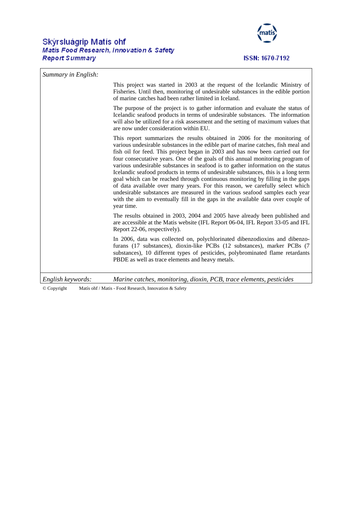## Skýrsluágrip Matís ohf **Matis Food Research, Innovation & Safety Report Summary**



*Summary in English:*  This project was started in 2003 at the request of the Icelandic Ministry of Fisheries. Until then, monitoring of undesirable substances in the edible portion of marine catches had been rather limited in Iceland. The purpose of the project is to gather information and evaluate the status of Icelandic seafood products in terms of undesirable substances. The information will also be utilized for a risk assessment and the setting of maximum values that are now under consideration within EU. This report summarizes the results obtained in 2006 for the monitoring of various undesirable substances in the edible part of marine catches, fish meal and fish oil for feed. This project began in 2003 and has now been carried out for four consecutative years. One of the goals of this annual monitoring program of various undesirable substances in seafood is to gather information on the status Icelandic seafood products in terms of undesirable substances, this is a long term goal which can be reached through continuous monitoring by filling in the gaps of data available over many years. For this reason, we carefully select which undesirable substances are measured in the various seafood samples each year with the aim to eventually fill in the gaps in the available data over couple of year time. The results obtained in 2003, 2004 and 2005 have already been published and are accessible at the Matis website (IFL Report 06-04, IFL Report 33-05 and IFL Report 22-06, respectively). In 2006, data was collected on, polychlorinated dibenzodioxins and dibenzofurans (17 substances), dioxin-like PCBs (12 substances), marker PCBs (7 substances), 10 different types of pesticides, polybrominated flame retardants PBDE as well as trace elements and heavy metals. *English keywords: Marine catches, monitoring, dioxin, PCB, trace elements, pesticides* 

© Copyright Matís ohf / Matis - Food Research, Innovation & Safety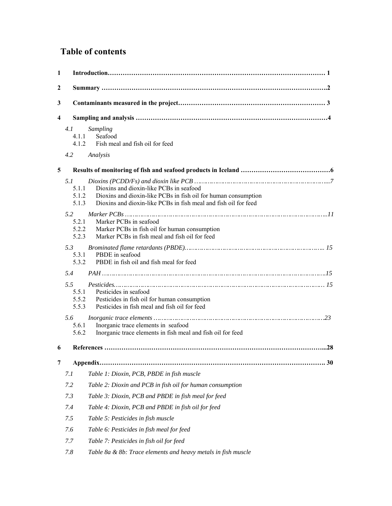## **Table of contents**

| 1                       |                                       |                                                                                                                                                                              |
|-------------------------|---------------------------------------|------------------------------------------------------------------------------------------------------------------------------------------------------------------------------|
| $\overline{2}$          |                                       |                                                                                                                                                                              |
| 3                       |                                       |                                                                                                                                                                              |
| $\overline{\mathbf{4}}$ |                                       |                                                                                                                                                                              |
|                         | 4.1<br>4.1.1                          | Sampling<br>Seafood<br>4.1.2 Fish meal and fish oil for feed                                                                                                                 |
|                         | 4.2                                   | Analysis                                                                                                                                                                     |
| 5                       |                                       |                                                                                                                                                                              |
|                         | 5.1<br>5.1.1<br>5.1.2<br>5.1.3<br>5.2 | Dioxins and dioxin-like PCBs in seafood<br>Dioxins and dioxin-like PCBs in fish oil for human consumption<br>Dioxins and dioxin-like PCBs in fish meal and fish oil for feed |
|                         | 5.2.1<br>5.2.2<br>5.2.3               | Marker PCBs in seafood<br>Marker PCBs in fish oil for human consumption<br>Marker PCBs in fish meal and fish oil for feed                                                    |
|                         | 5.3<br>5.3.1<br>5.3.2                 | PBDE in seafood<br>PBDE in fish oil and fish meal for feed                                                                                                                   |
|                         | 5.4                                   |                                                                                                                                                                              |
|                         | 5.5<br>5.5.1<br>5.5.2<br>5.5.3        | Pesticides in seafood<br>Pesticides in fish oil for human consumption<br>Pesticides in fish meal and fish oil for feed                                                       |
|                         | 5.6<br>5.6.1<br>5.6.2                 | Inorganic trace elements in seafood<br>Inorganic trace elements in fish meal and fish oil for feed                                                                           |
| 6                       |                                       |                                                                                                                                                                              |
| 7                       |                                       | 30                                                                                                                                                                           |
|                         | 7.1                                   | Table 1: Dioxin, PCB, PBDE in fish muscle                                                                                                                                    |
|                         | 7.2                                   | Table 2: Dioxin and PCB in fish oil for human consumption                                                                                                                    |
|                         | 7.3                                   | Table 3: Dioxin, PCB and PBDE in fish meal for feed                                                                                                                          |
|                         | 7.4                                   | Table 4: Dioxin, PCB and PBDE in fish oil for feed                                                                                                                           |
|                         | 7.5                                   | Table 5: Pesticides in fish muscle                                                                                                                                           |
|                         | 7.6                                   | Table 6: Pesticides in fish meal for feed                                                                                                                                    |
|                         | 7.7                                   | Table 7: Pesticides in fish oil for feed                                                                                                                                     |
|                         | 7.8                                   | Table 8a & 8b: Trace elements and heavy metals in fish muscle                                                                                                                |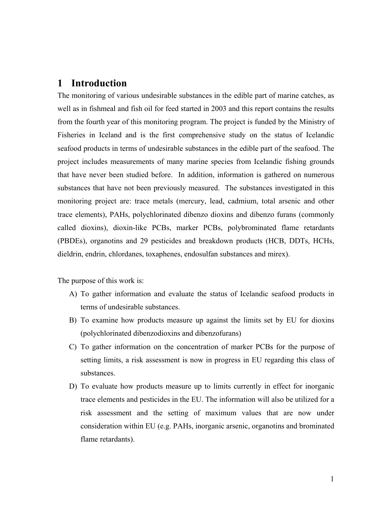## <span id="page-4-0"></span>**1 Introduction**

The monitoring of various undesirable substances in the edible part of marine catches, as well as in fishmeal and fish oil for feed started in 2003 and this report contains the results from the fourth year of this monitoring program. The project is funded by the Ministry of Fisheries in Iceland and is the first comprehensive study on the status of Icelandic seafood products in terms of undesirable substances in the edible part of the seafood. The project includes measurements of many marine species from Icelandic fishing grounds that have never been studied before. In addition, information is gathered on numerous substances that have not been previously measured. The substances investigated in this monitoring project are: trace metals (mercury, lead, cadmium, total arsenic and other trace elements), PAHs, polychlorinated dibenzo dioxins and dibenzo furans (commonly called dioxins), dioxin-like PCBs, marker PCBs, polybrominated flame retardants (PBDEs), organotins and 29 pesticides and breakdown products (HCB, DDTs, HCHs, dieldrin, endrin, chlordanes, toxaphenes, endosulfan substances and mirex).

The purpose of this work is:

- A) To gather information and evaluate the status of Icelandic seafood products in terms of undesirable substances.
- B) To examine how products measure up against the limits set by EU for dioxins (polychlorinated dibenzodioxins and dibenzofurans)
- C) To gather information on the concentration of marker PCBs for the purpose of setting limits, a risk assessment is now in progress in EU regarding this class of substances.
- D) To evaluate how products measure up to limits currently in effect for inorganic trace elements and pesticides in the EU. The information will also be utilized for a risk assessment and the setting of maximum values that are now under consideration within EU (e.g. PAHs, inorganic arsenic, organotins and brominated flame retardants).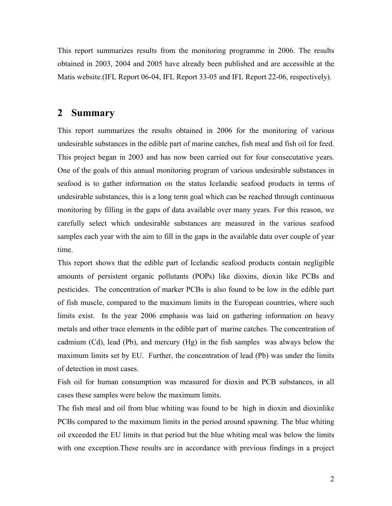<span id="page-5-0"></span>This report summarizes results from the monitoring programme in 2006. The results obtained in 2003, 2004 and 2005 have already been published and are accessible at the Matis website.(IFL Report 06-04, IFL Report 33-05 and IFL Report 22-06, respectively).

## **2 Summary**

This report summarizes the results obtained in 2006 for the monitoring of various undesirable substances in the edible part of marine catches, fish meal and fish oil for feed. This project began in 2003 and has now been carried out for four consecutative years. One of the goals of this annual monitoring program of various undesirable substances in seafood is to gather information on the status Icelandic seafood products in terms of undesirable substances, this is a long term goal which can be reached through continuous monitoring by filling in the gaps of data available over many years. For this reason, we carefully select which undesirable substances are measured in the various seafood samples each year with the aim to fill in the gaps in the available data over couple of year time.

This report shows that the edible part of Icelandic seafood products contain negligible amounts of persistent organic pollutants (POPs) like dioxins, dioxin like PCBs and pesticides. The concentration of marker PCBs is also found to be low in the edible part of fish muscle, compared to the maximum limits in the European countries, where such limits exist. In the year 2006 emphasis was laid on gathering information on heavy metals and other trace elements in the edible part of marine catches. The concentration of cadmium (Cd), lead (Pb), and mercury (Hg) in the fish samples was always below the maximum limits set by EU. Further, the concentration of lead (Pb) was under the limits of detection in most cases.

Fish oil for human consumption was measured for dioxin and PCB substances, in all cases these samples were below the maximum limits.

The fish meal and oil from blue whiting was found to be high in dioxin and dioxinlike PCBs compared to the maximum limits in the period around spawning. The blue whiting oil exceeded the EU limits in that period but the blue whiting meal was below the limits with one exception.These results are in accordance with previous findings in a project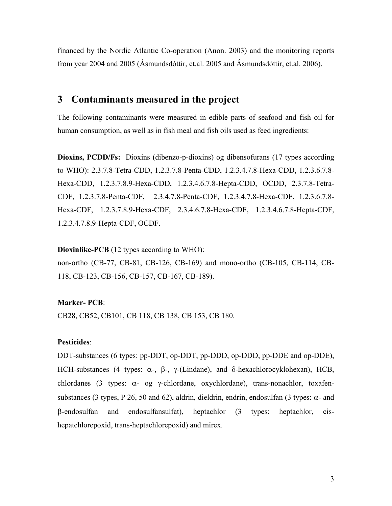<span id="page-6-0"></span>financed by the Nordic Atlantic Co-operation (Anon. 2003) and the monitoring reports from year 2004 and 2005 (Ásmundsdóttir, et.al. 2005 and Ásmundsdóttir, et.al. 2006).

## **3 Contaminants measured in the project**

The following contaminants were measured in edible parts of seafood and fish oil for human consumption, as well as in fish meal and fish oils used as feed ingredients:

**Dioxins, PCDD/Fs:** Dioxins (dibenzo-p-dioxins) og dibensofurans (17 types according to WHO): 2.3.7.8-Tetra-CDD, 1.2.3.7.8-Penta-CDD, 1.2.3.4.7.8-Hexa-CDD, 1.2.3.6.7.8- Hexa-CDD, 1.2.3.7.8.9-Hexa-CDD, 1.2.3.4.6.7.8-Hepta-CDD, OCDD, 2.3.7.8-Tetra-CDF, 1.2.3.7.8-Penta-CDF, 2.3.4.7.8-Penta-CDF, 1.2.3.4.7.8-Hexa-CDF, 1.2.3.6.7.8- Hexa-CDF, 1.2.3.7.8.9-Hexa-CDF, 2.3.4.6.7.8-Hexa-CDF, 1.2.3.4.6.7.8-Hepta-CDF, 1.2.3.4.7.8.9-Hepta-CDF, OCDF.

## **Dioxinlike-PCB** (12 types according to WHO):

non-ortho (CB-77, CB-81, CB-126, CB-169) and mono-ortho (CB-105, CB-114, CB-118, CB-123, CB-156, CB-157, CB-167, CB-189).

#### **Marker- PCB**:

CB28, CB52, CB101, CB 118, CB 138, CB 153, CB 180.

## **Pesticides**:

DDT-substances (6 types: pp-DDT, op-DDT, pp-DDD, op-DDD, pp-DDE and op-DDE), HCH-substances (4 types: α-, β-, γ-(Lindane), and δ-hexachlorocyklohexan), HCB, chlordanes (3 types:  $\alpha$ - og γ-chlordane, oxychlordane), trans-nonachlor, toxafensubstances (3 types, P 26, 50 and 62), aldrin, dieldrin, endrin, endosulfan (3 types:  $\alpha$ - and β-endosulfan and endosulfansulfat), heptachlor (3 types: heptachlor, cishepatchlorepoxid, trans-heptachlorepoxid) and mirex.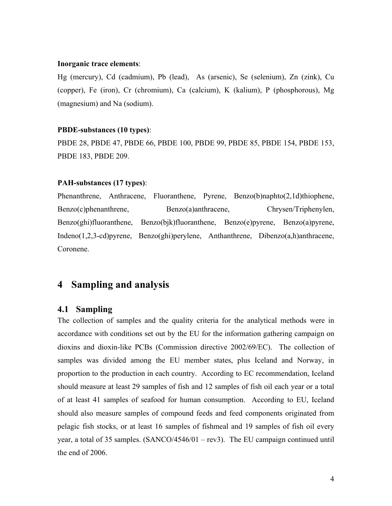#### <span id="page-7-0"></span>**Inorganic trace elements**:

Hg (mercury), Cd (cadmium), Pb (lead), As (arsenic), Se (selenium), Zn (zink), Cu (copper), Fe (iron), Cr (chromium), Ca (calcium), K (kalium), P (phosphorous), Mg (magnesium) and Na (sodium).

#### **PBDE-substances (10 types)**:

PBDE 28, PBDE 47, PBDE 66, PBDE 100, PBDE 99, PBDE 85, PBDE 154, PBDE 153, PBDE 183, PBDE 209.

## **PAH-substances (17 types)**:

Phenanthrene, Anthracene, Fluoranthene, Pyrene, Benzo(b)naphto(2,1d)thiophene, Benzo(c)phenanthrene, Benzo(a)anthracene, Chrysen/Triphenylen, Benzo(ghi)fluoranthene, Benzo(bjk)fluoranthene, Benzo(e)pyrene, Benzo(a)pyrene, Indeno(1,2,3-cd)pyrene, Benzo(ghi)perylene, Anthanthrene, Dibenzo(a,h)anthracene, Coronene.

## **4 Sampling and analysis**

## **4.1 Sampling**

The collection of samples and the quality criteria for the analytical methods were in accordance with conditions set out by the EU for the information gathering campaign on dioxins and dioxin-like PCBs (Commission directive 2002/69/EC). The collection of samples was divided among the EU member states, plus Iceland and Norway, in proportion to the production in each country. According to EC recommendation, Iceland should measure at least 29 samples of fish and 12 samples of fish oil each year or a total of at least 41 samples of seafood for human consumption. According to EU, Iceland should also measure samples of compound feeds and feed components originated from pelagic fish stocks, or at least 16 samples of fishmeal and 19 samples of fish oil every year, a total of 35 samples. (SANCO/4546/01 – rev3). The EU campaign continued until the end of 2006.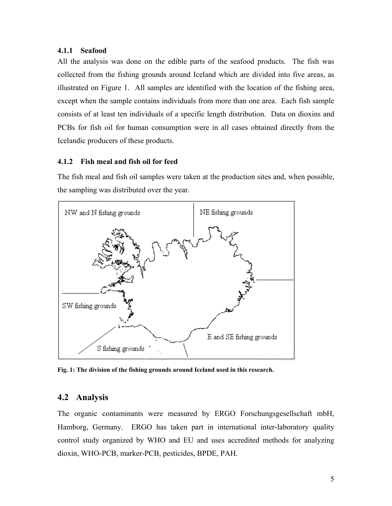## <span id="page-8-0"></span>**4.1.1 Seafood**

All the analysis was done on the edible parts of the seafood products. The fish was collected from the fishing grounds around Iceland which are divided into five areas, as illustrated on Figure 1. All samples are identified with the location of the fishing area, except when the sample contains individuals from more than one area. Each fish sample consists of at least ten individuals of a specific length distribution. Data on dioxins and PCBs for fish oil for human consumption were in all cases obtained directly from the Icelandic producers of these products.

## **4.1.2 Fish meal and fish oil for feed**

The fish meal and fish oil samples were taken at the production sites and, when possible, the sampling was distributed over the year.



**Fig. 1: The division of the fishing grounds around Iceland used in this research.** 

## **4.2 Analysis**

The organic contaminants were measured by ERGO Forschungsgesellschaft mbH, Hamborg, Germany. ERGO has taken part in international inter-laboratory quality control study organized by WHO and EU and uses accredited methods for analyzing dioxin, WHO-PCB, marker-PCB, pesticides, BPDE, PAH.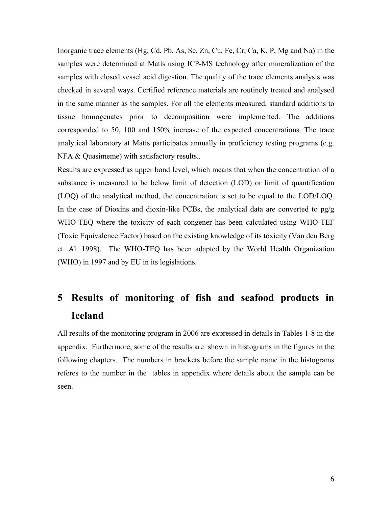<span id="page-9-0"></span>Inorganic trace elements (Hg, Cd, Pb, As, Se, Zn, Cu, Fe, Cr, Ca, K, P, Mg and Na) in the samples were determined at Matís using ICP-MS technology after mineralization of the samples with closed vessel acid digestion. The quality of the trace elements analysis was checked in several ways. Certified reference materials are routinely treated and analysed in the same manner as the samples. For all the elements measured, standard additions to tissue homogenates prior to decomposition were implemented. The additions corresponded to 50, 100 and 150% increase of the expected concentrations. The trace analytical laboratory at Matís participates annually in proficiency testing programs (e.g. NFA & Quasimeme) with satisfactory results..

Results are expressed as upper bond level, which means that when the concentration of a substance is measured to be below limit of detection (LOD) or limit of quantification (LOQ) of the analytical method, the concentration is set to be equal to the LOD/LOQ. In the case of Dioxins and dioxin-like PCBs, the analytical data are converted to  $pg/g$ WHO-TEQ where the toxicity of each congener has been calculated using WHO-TEF (Toxic Equivalence Factor) based on the existing knowledge of its toxicity (Van den Berg et. Al. 1998). The WHO-TEQ has been adapted by the World Health Organization (WHO) in 1997 and by EU in its legislations.

## **5 Results of monitoring of fish and seafood products in Iceland**

All results of the monitoring program in 2006 are expressed in details in Tables 1-8 in the appendix. Furthermore, some of the results are shown in histograms in the figures in the following chapters. The numbers in brackets before the sample name in the histograms referes to the number in the tables in appendix where details about the sample can be seen.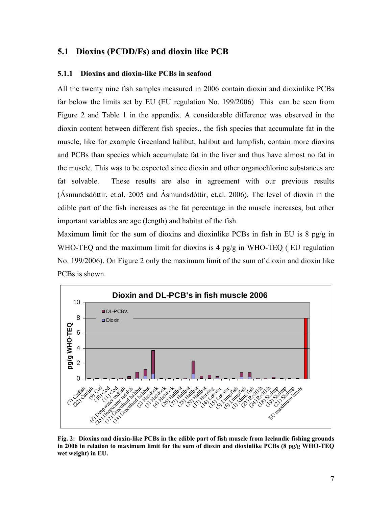## <span id="page-10-0"></span>**5.1 Dioxins (PCDD/Fs) and dioxin like PCB**

## **5.1.1 Dioxins and dioxin-like PCBs in seafood**

All the twenty nine fish samples measured in 2006 contain dioxin and dioxinlike PCBs far below the limits set by EU (EU regulation No. 199/2006) This can be seen from Figure 2 and Table 1 in the appendix. A considerable difference was observed in the dioxin content between different fish species., the fish species that accumulate fat in the muscle, like for example Greenland halibut, halibut and lumpfish, contain more dioxins and PCBs than species which accumulate fat in the liver and thus have almost no fat in the muscle. This was to be expected since dioxin and other organochlorine substances are fat solvable. These results are also in agreement with our previous results (Ásmundsdóttir, et.al. 2005 and Ásmundsdóttir, et.al. 2006). The level of dioxin in the edible part of the fish increases as the fat percentage in the muscle increases, but other important variables are age (length) and habitat of the fish.

Maximum limit for the sum of dioxins and dioxinlike PCBs in fish in EU is 8 pg/g in WHO-TEQ and the maximum limit for dioxins is 4 pg/g in WHO-TEQ ( EU regulation No. 199/2006). On Figure 2 only the maximum limit of the sum of dioxin and dioxin like PCBs is shown.



**Fig. 2: Dioxins and dioxin-like PCBs in the edible part of fish muscle from Icelandic fishing grounds in 2006 in relation to maximum limit for the sum of dioxin and dioxinlike PCBs (8 pg/g WHO-TEQ wet weight) in EU.**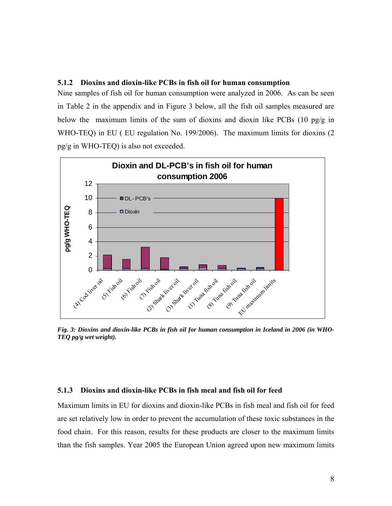## <span id="page-11-0"></span>**5.1.2 Dioxins and dioxin-like PCBs in fish oil for human consumption**

Nine samples of fish oil for human consumption were analyzed in 2006. As can be seen in Table 2 in the appendix and in Figure 3 below, all the fish oil samples measured are below the maximum limits of the sum of dioxins and dioxin like PCBs (10 pg/g in WHO-TEQ) in EU ( EU regulation No. 199/2006). The maximum limits for dioxins (2 pg/g in WHO-TEQ) is also not exceeded.



*Fig. 3: Dioxins and dioxin-like PCBs in fish oil for human consumption in Iceland in 2006 (in WHO-TEQ pg/g wet weight).* 

### **5.1.3 Dioxins and dioxin-like PCBs in fish meal and fish oil for feed**

Maximum limits in EU for dioxins and dioxin-like PCBs in fish meal and fish oil for feed are set relatively low in order to prevent the accumulation of these toxic substances in the food chain. For this reason, results for these products are closer to the maximum limits than the fish samples. Year 2005 the European Union agreed upon new maximum limits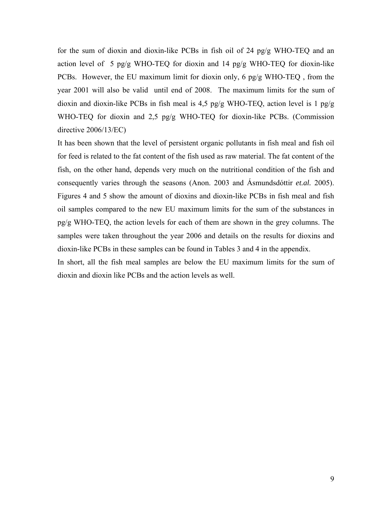for the sum of dioxin and dioxin-like PCBs in fish oil of 24 pg/g WHO-TEQ and an action level of 5 pg/g WHO-TEQ for dioxin and 14 pg/g WHO-TEQ for dioxin-like PCBs. However, the EU maximum limit for dioxin only, 6 pg/g WHO-TEQ , from the year 2001 will also be valid until end of 2008. The maximum limits for the sum of dioxin and dioxin-like PCBs in fish meal is 4,5 pg/g WHO-TEQ, action level is 1 pg/g WHO-TEQ for dioxin and 2,5 pg/g WHO-TEQ for dioxin-like PCBs. (Commission directive 2006/13/EC)

It has been shown that the level of persistent organic pollutants in fish meal and fish oil for feed is related to the fat content of the fish used as raw material. The fat content of the fish, on the other hand, depends very much on the nutritional condition of the fish and consequently varies through the seasons (Anon. 2003 and Ásmundsdóttir *et.al.* 2005). Figures 4 and 5 show the amount of dioxins and dioxin-like PCBs in fish meal and fish oil samples compared to the new EU maximum limits for the sum of the substances in pg/g WHO-TEQ, the action levels for each of them are shown in the grey columns. The samples were taken throughout the year 2006 and details on the results for dioxins and dioxin-like PCBs in these samples can be found in Tables 3 and 4 in the appendix.

In short, all the fish meal samples are below the EU maximum limits for the sum of dioxin and dioxin like PCBs and the action levels as well.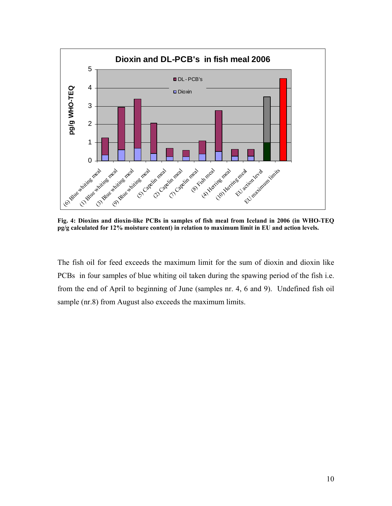

**Fig. 4: Dioxins and dioxin-like PCBs in samples of fish meal from Iceland in 2006 (in WHO-TEQ pg/g calculated for 12% moisture content) in relation to maximum limit in EU and action levels.** 

The fish oil for feed exceeds the maximum limit for the sum of dioxin and dioxin like PCBs in four samples of blue whiting oil taken during the spawing period of the fish i.e. from the end of April to beginning of June (samples nr. 4, 6 and 9). Undefined fish oil sample (nr.8) from August also exceeds the maximum limits.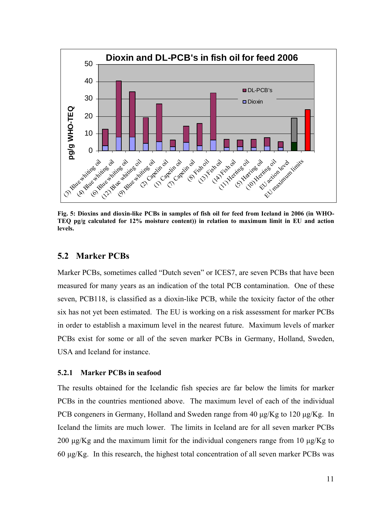<span id="page-14-0"></span>

**Fig. 5: Dioxins and dioxin-like PCBs in samples of fish oil for feed from Iceland in 2006 (in WHO-TEQ pg/g calculated for 12% moisture content)) in relation to maximum limit in EU and action levels.** 

## **5.2 Marker PCBs**

Marker PCBs, sometimes called "Dutch seven" or ICES7, are seven PCBs that have been measured for many years as an indication of the total PCB contamination. One of these seven, PCB118, is classified as a dioxin-like PCB, while the toxicity factor of the other six has not yet been estimated. The EU is working on a risk assessment for marker PCBs in order to establish a maximum level in the nearest future. Maximum levels of marker PCBs exist for some or all of the seven marker PCBs in Germany, Holland, Sweden, USA and Iceland for instance.

#### **5.2.1 Marker PCBs in seafood**

The results obtained for the Icelandic fish species are far below the limits for marker PCBs in the countries mentioned above. The maximum level of each of the individual PCB congeners in Germany, Holland and Sweden range from 40 μg/Kg to 120 μg/Kg. In Iceland the limits are much lower. The limits in Iceland are for all seven marker PCBs 200 μg/Kg and the maximum limit for the individual congeners range from 10 μg/Kg to 60  $\mu$ g/Kg. In this research, the highest total concentration of all seven marker PCBs was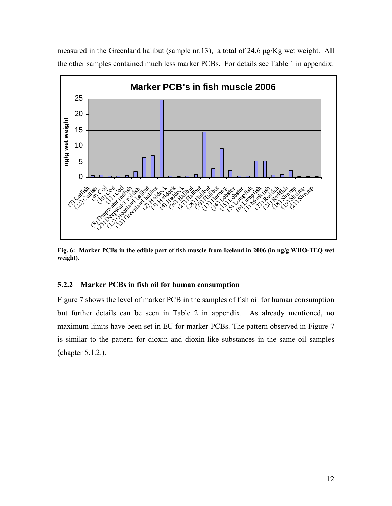<span id="page-15-0"></span>



**Fig. 6: Marker PCBs in the edible part of fish muscle from Iceland in 2006 (in ng/g WHO-TEQ wet weight).** 

## **5.2.2 Marker PCBs in fish oil for human consumption**

Figure 7 shows the level of marker PCB in the samples of fish oil for human consumption but further details can be seen in Table 2 in appendix. As already mentioned, no maximum limits have been set in EU for marker-PCBs. The pattern observed in Figure 7 is similar to the pattern for dioxin and dioxin-like substances in the same oil samples (chapter 5.1.2.).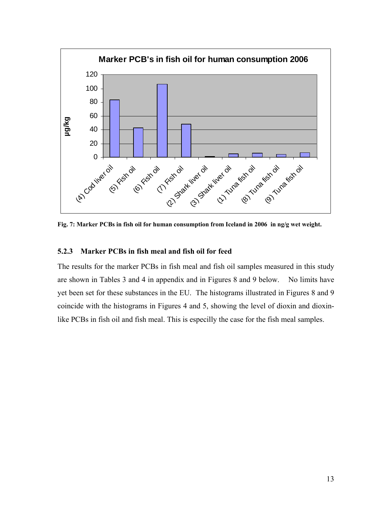<span id="page-16-0"></span>

**Fig. 7: Marker PCBs in fish oil for human consumption from Iceland in 2006 in ng/g wet weight.** 

## **5.2.3 Marker PCBs in fish meal and fish oil for feed**

The results for the marker PCBs in fish meal and fish oil samples measured in this study are shown in Tables 3 and 4 in appendix and in Figures 8 and 9 below. No limits have yet been set for these substances in the EU. The histograms illustrated in Figures 8 and 9 coincide with the histograms in Figures 4 and 5, showing the level of dioxin and dioxinlike PCBs in fish oil and fish meal. This is especilly the case for the fish meal samples.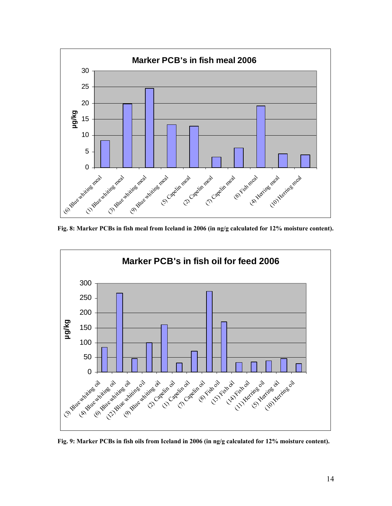

**Fig. 8: Marker PCBs in fish meal from Iceland in 2006 (in ng/g calculated for 12% moisture content).** 



**Fig. 9: Marker PCBs in fish oils from Iceland in 2006 (in ng/g calculated for 12% moisture content).**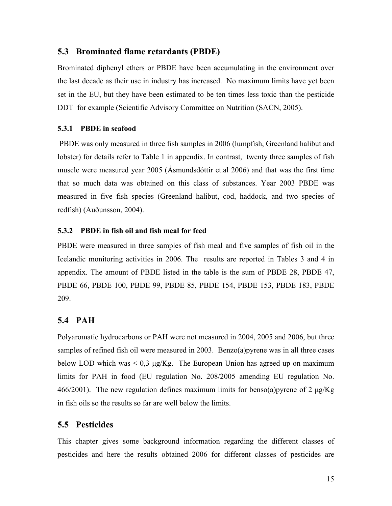## <span id="page-18-0"></span>**5.3 Brominated flame retardants (PBDE)**

Brominated diphenyl ethers or PBDE have been accumulating in the environment over the last decade as their use in industry has increased. No maximum limits have yet been set in the EU, but they have been estimated to be ten times less toxic than the pesticide DDT for example (Scientific Advisory Committee on Nutrition (SACN, 2005).

#### **5.3.1 PBDE in seafood**

 PBDE was only measured in three fish samples in 2006 (lumpfish, Greenland halibut and lobster) for details refer to Table 1 in appendix. In contrast, twenty three samples of fish muscle were measured year 2005 (Ásmundsdóttir et.al 2006) and that was the first time that so much data was obtained on this class of substances. Year 2003 PBDE was measured in five fish species (Greenland halibut, cod, haddock, and two species of redfish) (Auðunsson, 2004).

#### **5.3.2 PBDE in fish oil and fish meal for feed**

PBDE were measured in three samples of fish meal and five samples of fish oil in the Icelandic monitoring activities in 2006. The results are reported in Tables 3 and 4 in appendix. The amount of PBDE listed in the table is the sum of PBDE 28, PBDE 47, PBDE 66, PBDE 100, PBDE 99, PBDE 85, PBDE 154, PBDE 153, PBDE 183, PBDE 209.

## **5.4 PAH**

Polyaromatic hydrocarbons or PAH were not measured in 2004, 2005 and 2006, but three samples of refined fish oil were measured in 2003. Benzo(a) pyrene was in all three cases below LOD which was  $\leq 0.3$  μg/Kg. The European Union has agreed up on maximum limits for PAH in food (EU regulation No. 208/2005 amending EU regulation No. 466/2001). The new regulation defines maximum limits for benso(a) pyrene of 2  $\mu$ g/Kg in fish oils so the results so far are well below the limits.

## **5.5 Pesticides**

This chapter gives some background information regarding the different classes of pesticides and here the results obtained 2006 for different classes of pesticides are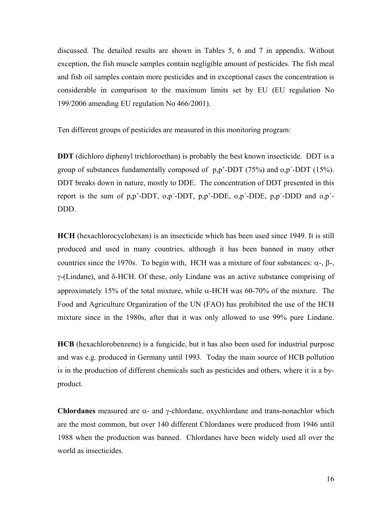discussed. The detailed results are shown in Tables 5, 6 and 7 in appendix. Without exception, the fish muscle samples contain negligible amount of pesticides. The fish meal and fish oil samples contain more pesticides and in exceptional cases the concentration is considerable in comparison to the maximum limits set by EU (EU regulation No 199/2006 amending EU regulation No 466/2001).

Ten different groups of pesticides are measured in this monitoring program:

**DDT** (dichloro diphenyl trichloroethan) is probably the best known insecticide. DDT is a group of substances fundamentally composed of p,p'-DDT (75%) and o,p´-DDT (15%). DDT breaks down in nature, mostly to DDE. The concentration of DDT presented in this report is the sum of p,p'-DDT, o,p´-DDT, p,p'-DDE, o,p´-DDE, p,p´-DDD and o,p´- DDD.

**HCH** (hexachlorocyclohexan) is an insecticide which has been used since 1949. It is still produced and used in many countries, although it has been banned in many other countries since the 1970s. To begin with, HCH was a mixture of four substances:  $\alpha$ -,  $\beta$ -, γ-(Lindane), and δ-HCH. Of these, only Lindane was an active substance comprising of approximately 15% of the total mixture, while α-HCH was 60-70% of the mixture. The Food and Agriculture Organization of the UN (FAO) has prohibited the use of the HCH mixture since in the 1980s, after that it was only allowed to use 99% pure Lindane.

**HCB** (hexachlorobenzene) is a fungicide, but it has also been used for industrial purpose and was e.g. produced in Germany until 1993. Today the main source of HCB pollution is in the production of different chemicals such as pesticides and others, where it is a byproduct.

**Chlordanes** measured are α- and γ-chlordane, oxychlordane and trans-nonachlor which are the most common, but over 140 different Chlordanes were produced from 1946 until 1988 when the production was banned. Chlordanes have been widely used all over the world as insecticides.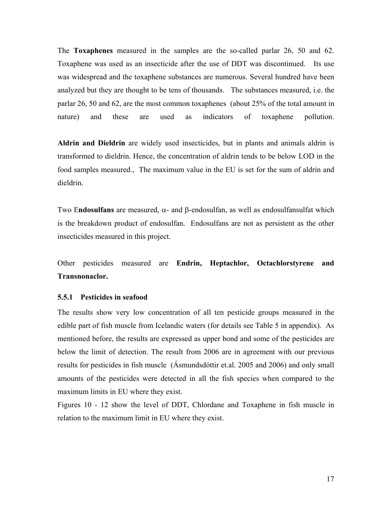<span id="page-20-0"></span>The **Toxaphenes** measured in the samples are the so-called parlar 26, 50 and 62. Toxaphene was used as an insecticide after the use of DDT was discontinued. Its use was widespread and the toxaphene substances are numerous. Several hundred have been analyzed but they are thought to be tens of thousands. The substances measured, i.e. the parlar 26, 50 and 62, are the most common toxaphenes (about 25% of the total amount in nature) and these are used as indicators of toxaphene pollution.

**Aldrin and Dieldrin** are widely used insecticides, but in plants and animals aldrin is transformed to dieldrin. Hence, the concentration of aldrin tends to be below LOD in the food samples measured., The maximum value in the EU is set for the sum of aldrin and dieldrin.

Two E**ndosulfans** are measured, α- and β-endosulfan, as well as endosulfansulfat which is the breakdown product of endosulfan. Endosulfans are not as persistent as the other insecticides measured in this project.

Other pesticides measured are **Endrin, Heptachlor, Octachlorstyrene and Transnonaclor.**

#### **5.5.1 Pesticides in seafood**

The results show very low concentration of all ten pesticide groups measured in the edible part of fish muscle from Icelandic waters (for details see Table 5 in appendix). As mentioned before, the results are expressed as upper bond and some of the pesticides are below the limit of detection. The result from 2006 are in agreement with our previous results for pesticides in fish muscle (Ásmundsdóttir et.al. 2005 and 2006) and only small amounts of the pesticides were detected in all the fish species when compared to the maximum limits in EU where they exist.

Figures 10 - 12 show the level of DDT, Chlordane and Toxaphene in fish muscle in relation to the maximum limit in EU where they exist.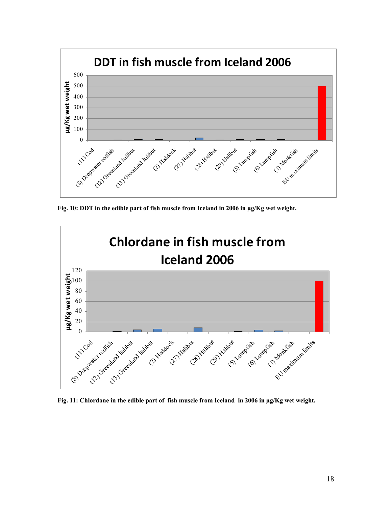

**Fig. 10: DDT in the edible part of fish muscle from Iceland in 2006 in μg/Kg wet weight.** 



**Fig. 11: Chlordane in the edible part of fish muscle from Iceland in 2006 in μg/Kg wet weight.**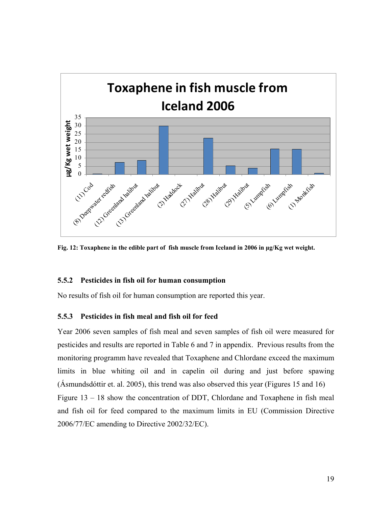<span id="page-22-0"></span>

**Fig. 12: Toxaphene in the edible part of fish muscle from Iceland in 2006 in μg/Kg wet weight.** 

#### **5.5.2 Pesticides in fish oil for human consumption**

No results of fish oil for human consumption are reported this year.

## **5.5.3 Pesticides in fish meal and fish oil for feed**

Year 2006 seven samples of fish meal and seven samples of fish oil were measured for pesticides and results are reported in Table 6 and 7 in appendix. Previous results from the monitoring programm have revealed that Toxaphene and Chlordane exceed the maximum limits in blue whiting oil and in capelin oil during and just before spawing (Ásmundsdóttir et. al. 2005), this trend was also observed this year (Figures 15 and 16) Figure 13 – 18 show the concentration of DDT, Chlordane and Toxaphene in fish meal and fish oil for feed compared to the maximum limits in EU (Commission Directive 2006/77/EC amending to Directive 2002/32/EC).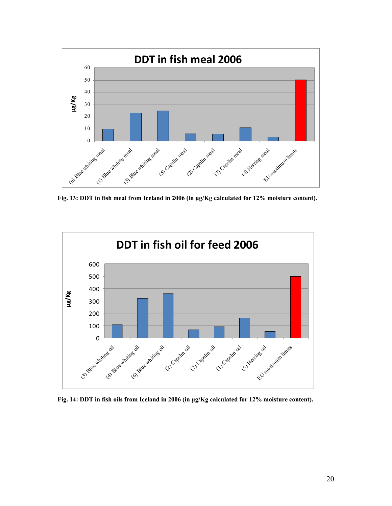

**Fig. 13: DDT in fish meal from Iceland in 2006 (in μg/Kg calculated for 12% moisture content).** 



**Fig. 14: DDT in fish oils from Iceland in 2006 (in μg/Kg calculated for 12% moisture content).**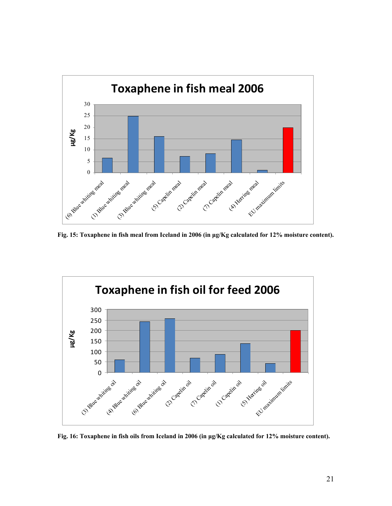

**Fig. 15: Toxaphene in fish meal from Iceland in 2006 (in μg/Kg calculated for 12% moisture content).** 



**Fig. 16: Toxaphene in fish oils from Iceland in 2006 (in μg/Kg calculated for 12% moisture content).**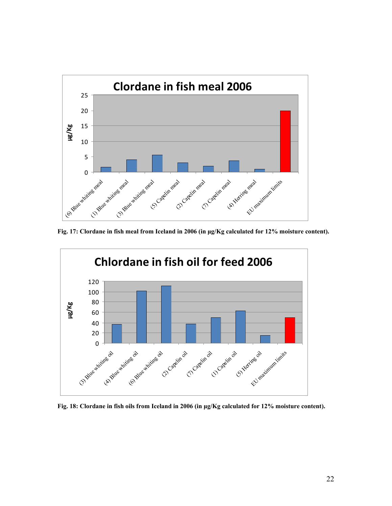

**Fig. 17: Clordane in fish meal from Iceland in 2006 (in μg/Kg calculated for 12% moisture content).** 



**Fig. 18: Clordane in fish oils from Iceland in 2006 (in μg/Kg calculated for 12% moisture content).**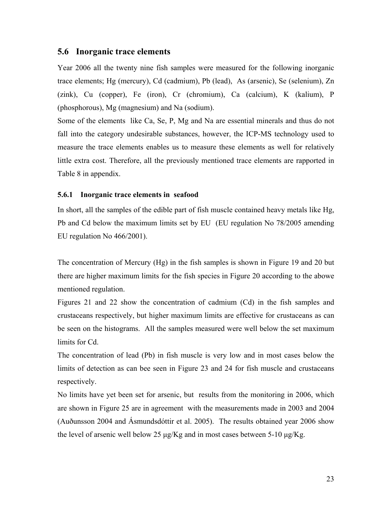## <span id="page-26-0"></span>**5.6 Inorganic trace elements**

Year 2006 all the twenty nine fish samples were measured for the following inorganic trace elements; Hg (mercury), Cd (cadmium), Pb (lead), As (arsenic), Se (selenium), Zn (zink), Cu (copper), Fe (iron), Cr (chromium), Ca (calcium), K (kalium), P (phosphorous), Mg (magnesium) and Na (sodium).

Some of the elements like Ca, Se, P, Mg and Na are essential minerals and thus do not fall into the category undesirable substances, however, the ICP-MS technology used to measure the trace elements enables us to measure these elements as well for relatively little extra cost. Therefore, all the previously mentioned trace elements are rapported in Table 8 in appendix.

#### **5.6.1 Inorganic trace elements in seafood**

In short, all the samples of the edible part of fish muscle contained heavy metals like Hg, Pb and Cd below the maximum limits set by EU (EU regulation No 78/2005 amending EU regulation No 466/2001).

The concentration of Mercury (Hg) in the fish samples is shown in Figure 19 and 20 but there are higher maximum limits for the fish species in Figure 20 according to the abowe mentioned regulation.

Figures 21 and 22 show the concentration of cadmium (Cd) in the fish samples and crustaceans respectively, but higher maximum limits are effective for crustaceans as can be seen on the histograms. All the samples measured were well below the set maximum limits for Cd.

The concentration of lead (Pb) in fish muscle is very low and in most cases below the limits of detection as can bee seen in Figure 23 and 24 for fish muscle and crustaceans respectively.

No limits have yet been set for arsenic, but results from the monitoring in 2006, which are shown in Figure 25 are in agreement with the measurements made in 2003 and 2004 (Auðunsson 2004 and Ásmundsdóttir et al. 2005). The results obtained year 2006 show the level of arsenic well below 25  $\mu$ g/Kg and in most cases between 5-10  $\mu$ g/Kg.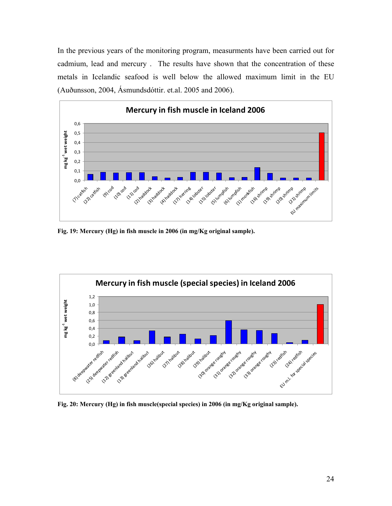In the previous years of the monitoring program, measurments have been carried out for cadmium, lead and mercury . The results have shown that the concentration of these metals in Icelandic seafood is well below the allowed maximum limit in the EU (Auðunsson, 2004, Ásmundsdóttir. et.al. 2005 and 2006).



**Fig. 19: Mercury (Hg) in fish muscle in 2006 (in mg/Kg original sample).** 



**Fig. 20: Mercury (Hg) in fish muscle(special species) in 2006 (in mg/Kg original sample).**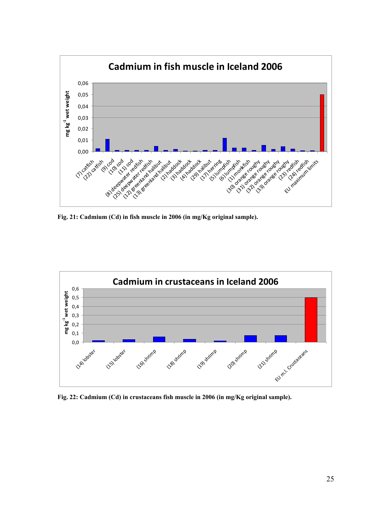

**Fig. 21: Cadmium (Cd) in fish muscle in 2006 (in mg/Kg original sample).** 



**Fig. 22: Cadmium (Cd) in crustaceans fish muscle in 2006 (in mg/Kg original sample).**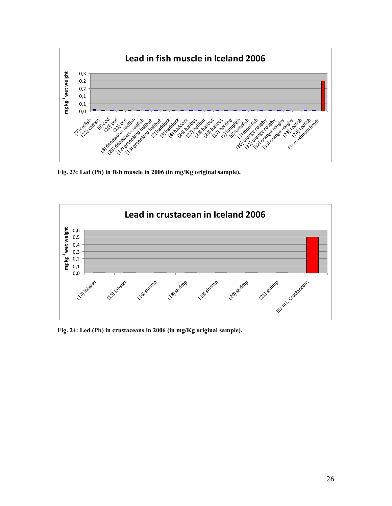

**Fig. 23: Led (Pb) in fish muscle in 2006 (in mg/Kg original sample).** 



**Fig. 24: Led (Pb) in crustaceans in 2006 (in mg/Kg original sample).**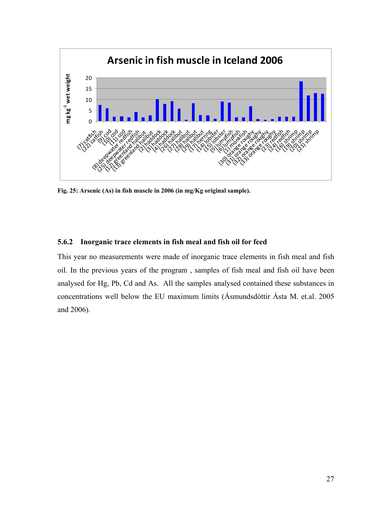<span id="page-30-0"></span>

**Fig. 25: Arsenic (As) in fish muscle in 2006 (in mg/Kg original sample).** 

#### **5.6.2 Inorganic trace elements in fish meal and fish oil for feed**

This year no measurements were made of inorganic trace elements in fish meal and fish oil. In the previous years of the program , samples of fish meal and fish oil have been analysed for Hg, Pb, Cd and As. All the samples analysed contained these substances in concentrations well below the EU maximum limits (Ásmundsdóttir Ásta M. et.al. 2005 and 2006).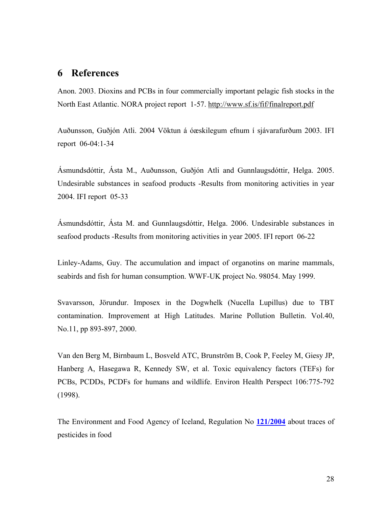## <span id="page-31-0"></span>**6 References**

Anon. 2003. Dioxins and PCBs in four commercially important pelagic fish stocks in the North East Atlantic. NORA project report 1-57.<http://www.sf.is/fif/finalreport.pdf>

Auðunsson, Guðjón Atli. 2004 Vöktun á óæskilegum efnum í sjávarafurðum 2003. IFI report 06-04:1-34

Ásmundsdóttir, Ásta M., Auðunsson, Guðjón Atli and Gunnlaugsdóttir, Helga. 2005. Undesirable substances in seafood products -Results from monitoring activities in year 2004. IFI report 05-33

Ásmundsdóttir, Ásta M. and Gunnlaugsdóttir, Helga. 2006. Undesirable substances in seafood products -Results from monitoring activities in year 2005. IFI report 06-22

Linley-Adams, Guy. The accumulation and impact of organotins on marine mammals, seabirds and fish for human consumption. WWF-UK project No. 98054. May 1999.

Svavarsson, Jörundur. Imposex in the Dogwhelk (Nucella Lupillus) due to TBT contamination. Improvement at High Latitudes. Marine Pollution Bulletin. Vol.40, No.11, pp 893-897, 2000.

Van den Berg M, Birnbaum L, Bosveld ATC, Brunström B, Cook P, Feeley M, Giesy JP, Hanberg A, Hasegawa R, Kennedy SW, et al. Toxic equivalency factors (TEFs) for PCBs, PCDDs, PCDFs for humans and wildlife. Environ Health Perspect 106:775-792 (1998).

The Environment and Food Agency of Iceland, Regulation No **121/2004** about traces of pesticides in food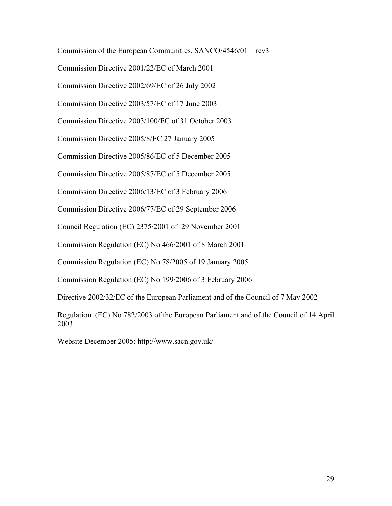Commission of the European Communities. SANCO/4546/01 – rev3 Commission Directive 2001/22/EC of March 2001 Commission Directive 2002/69/EC of 26 July 2002 Commission Directive 2003/57/EC of 17 June 2003 Commission Directive 2003/100/EC of 31 October 2003 Commission Directive 2005/8/EC 27 January 2005 Commission Directive 2005/86/EC of 5 December 2005 Commission Directive 2005/87/EC of 5 December 2005 Commission Directive 2006/13/EC of 3 February 2006 Commission Directive 2006/77/EC of 29 September 2006 Council Regulation (EC) 2375/2001 of 29 November 2001 Commission Regulation (EC) No 466/2001 of 8 March 2001 Commission Regulation (EC) No 78/2005 of 19 January 2005 Commission Regulation (EC) No 199/2006 of 3 February 2006 Directive 2002/32/EC of the European Parliament and of the Council of 7 May 2002 Regulation (EC) No 782/2003 of the European Parliament and of the Council of 14 April 2003 Website December 2005: <http://www.sacn.gov.uk/>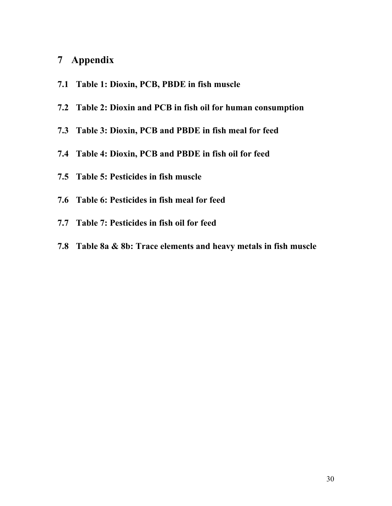## <span id="page-33-0"></span>**7 Appendix**

- **7.1 Table 1: Dioxin, PCB, PBDE in fish muscle**
- **7.2 Table 2: Dioxin and PCB in fish oil for human consumption**
- **7.3 Table 3: Dioxin, PCB and PBDE in fish meal for feed**
- **7.4 Table 4: Dioxin, PCB and PBDE in fish oil for feed**
- **7.5 Table 5: Pesticides in fish muscle**
- **7.6 Table 6: Pesticides in fish meal for feed**
- **7.7 Table 7: Pesticides in fish oil for feed**
- **7.8 Table 8a & 8b: Trace elements and heavy metals in fish muscle**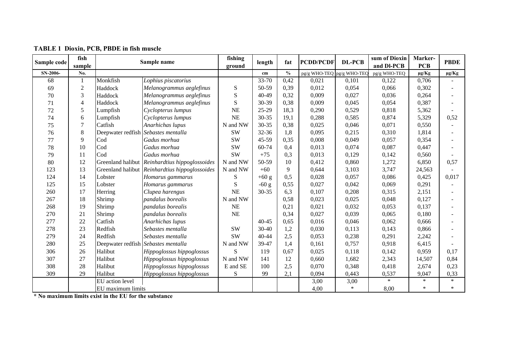| Sample code | fish           |                   | Sample name                                           | fishing   | length    | fat                                | <b>PCDD/PCDF</b>          | <b>DL-PCB</b> | sum of Dioxin | Marker-    | <b>PBDE</b> |
|-------------|----------------|-------------------|-------------------------------------------------------|-----------|-----------|------------------------------------|---------------------------|---------------|---------------|------------|-------------|
|             | sample         |                   |                                                       | ground    |           |                                    |                           |               | and DI-PCB    | <b>PCB</b> |             |
| SN-2006-    | No.            |                   |                                                       |           | cm        | $\mathbf{0}_{\mathbf{0}}^{\prime}$ | pg/g WHO-TEQ pg/g WHO-TEQ |               | pg/g WHO-TEQ  | $\mu$ g/Kg | $\mu$ g/Kg  |
| 68          |                | Monkfish          | Lophius piscatorius                                   |           | 33-70     | 0,42                               | 0,021                     | 0,101         | 0,122         | 0,706      |             |
| 69          | $\overline{2}$ | Haddock           | Melanogrammus aeglefinus                              | ${\bf S}$ | 50-59     | 0,39                               | 0,012                     | 0,054         | 0,066         | 0,302      |             |
| 70          | 3              | Haddock           | Melanogrammus aeglefinus                              | S         | 40-49     | 0,32                               | 0,009                     | 0,027         | 0,036         | 0,264      |             |
| 71          | 4              | Haddock           | Melanogrammus aeglefinus                              | ${\bf S}$ | 30-39     | 0,38                               | 0,009                     | 0,045         | 0,054         | 0,387      |             |
| 72          | 5              | Lumpfish          | Cyclopterus lumpus                                    | <b>NE</b> | $25-29$   | 18,3                               | 0,290                     | 0,529         | 0,818         | 5,362      |             |
| 74          | 6              | Lumpfish          | Cyclopterus lumpus                                    | <b>NE</b> | $30 - 35$ | 19,1                               | 0,288                     | 0,585         | 0,874         | 5,329      | 0,52        |
| 75          | $\overline{7}$ | Catfish           | Anarhichas lupus                                      | N and NW  | $30 - 35$ | 0,38                               | 0,025                     | 0,046         | 0,071         | 0,550      |             |
| 76          | 8              |                   | Deepwater redfish Sebastes mentalla                   | <b>SW</b> | 32-36     | 1,8                                | 0,095                     | 0,215         | 0,310         | 1,814      |             |
| 77          | 9              | Cod               | Gadus morhua                                          | <b>SW</b> | $45 - 59$ | 0,35                               | 0,008                     | 0,049         | 0,057         | 0,354      |             |
| 78          | 10             | Cod               | Gadus morhua                                          | <b>SW</b> | 60-74     | 0,4                                | 0,013                     | 0,074         | 0,087         | 0,447      |             |
| 79          | 11             | Cod               | Gadus morhua                                          | <b>SW</b> | $+75$     | 0,3                                | 0,013                     | 0,129         | 0,142         | 0,560      |             |
| 80          | 12             |                   | Greenland halibut <i>Reinhardtius hippoglossoides</i> | N and NW  | 50-59     | 10                                 | 0,412                     | 0,860         | 1,272         | 6,850      | 0,57        |
| 123         | 13             |                   | Greenland halibut Reinhardtius hippoglossoides        | N and NW  | $+60$     | 9                                  | 0,644                     | 3,103         | 3,747         | 24,563     |             |
| 124         | 14             | Lobster           | Homarus gammarus                                      | S         | $+60$ g   | 0,5                                | 0,028                     | 0,057         | 0,086         | 0,425      | 0,017       |
| 125         | 15             | Lobster           | Homarus gammarus                                      | S         | $-60g$    | 0,55                               | 0,027                     | 0,042         | 0,069         | 0,291      |             |
| 260         | 17             | Herring           | Clupea harengus                                       | <b>NE</b> | $30 - 35$ | 6,3                                | 0,107                     | 0,208         | 0,315         | 2,151      |             |
| 267         | 18             | Shrimp            | pandalus borealis                                     | N and NW  |           | 0,58                               | 0,023                     | 0,025         | 0,048         | 0,127      |             |
| 268         | 19             | Shrimp            | pandalus borealis                                     | <b>NE</b> |           | 0,21                               | 0,021                     | 0,032         | 0,053         | 0,137      |             |
| 270         | 21             | Shrimp            | pandalus borealis                                     | <b>NE</b> |           | 0,34                               | 0,027                     | 0,039         | 0,065         | 0,180      |             |
| 277         | 22             | Catfish           | Anarhichas lupus                                      |           | $40 - 45$ | 0,65                               | 0,016                     | 0,046         | 0,062         | 0,666      |             |
| 278         | 23             | Redfish           | Sebastes mentalla                                     | <b>SW</b> | $30 - 40$ | 1,2                                | 0,030                     | 0,113         | 0,143         | 0,866      |             |
| 279         | 24             | Redfish           | Sebastes mentalla                                     | <b>SW</b> | 40-44     | 2,5                                | 0,053                     | 0,238         | 0,291         | 2,242      |             |
| 280         | 25             |                   | Deepwater redfish Sebastes mentalla                   | N and NW  | 39-47     | 1,4                                | 0,161                     | 0,757         | 0,918         | 6,415      |             |
| 306         | 26             | Halibut           | Hippoglossus hippoglossus                             | S         | 119       | 0.67                               | 0,025                     | 0,118         | 0,142         | 0,959      | 0,17        |
| 307         | 27             | Halibut           | Hippoglossus hippoglossus                             | N and NW  | 141       | 12                                 | 0,660                     | 1,682         | 2,343         | 14,507     | 0,84        |
| 308         | 28             | Halibut           | Hippoglossus hippoglossus                             | E and SE  | 100       | 2,5                                | 0,070                     | 0,348         | 0,418         | 2,674      | 0,23        |
| 309         | 29             | Halibut           | Hippoglossus hippoglossus                             | ${\bf S}$ | 99        | 2,1                                | 0,094                     | 0,443         | 0,537         | 9,047      | 0,33        |
|             |                | EU action level   |                                                       |           |           |                                    | 3,00                      | 3,00          | $\ast$        | $\ast$     | $\ast$      |
|             |                | EU maximum limits |                                                       |           |           |                                    | 4,00                      | $\ast$        | 8,00          | $\ast$     | $\ast$      |

**TABLE 1 Dioxin, PCB, PBDE in fish muscle**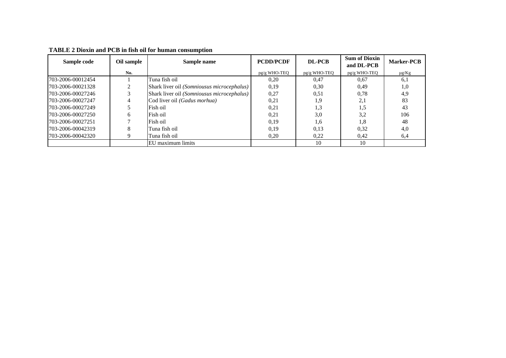| Sample code       | Oil sample   | Sample name                                | <b>PCDD/PCDF</b> | DL-PCB       | <b>Sum of Dioxin</b><br>and DL-PCB | <b>Marker-PCB</b> |
|-------------------|--------------|--------------------------------------------|------------------|--------------|------------------------------------|-------------------|
|                   | No.          |                                            | $pg/g$ WHO-TEQ   | pg/g WHO-TEQ | pg/g WHO-TEQ                       | $\mu$ g/Kg        |
| 703-2006-00012454 |              | Tuna fish oil                              | 0.20             | 0.47         | 0.67                               | 6.1               |
| 703-2006-00021328 |              | Shark liver oil (Somniousus microcephalus) | 0.19             | 0.30         | 0.49                               | 1.0               |
| 703-2006-00027246 |              | Shark liver oil (Somniousus microcephalus) | 0,27             | 0.51         | 0.78                               | 4.9               |
| 703-2006-00027247 |              | Cod liver oil (Gadus morhua)               | 0,21             | 1.9          | 2,1                                | 83                |
| 703-2006-00027249 |              | Fish oil                                   | 0.21             | 1.3          | 1.5                                | 43                |
| 703-2006-00027250 | <sub>(</sub> | Fish oil                                   | 0,21             | 3,0          | 3,2                                | 106               |
| 703-2006-00027251 |              | Fish oil                                   | 0.19             | 1.6          | 1,8                                | 48                |
| 703-2006-00042319 | $\Delta$     | Tuna fish oil                              | 0.19             | 0.13         | 0,32                               | 4.0               |
| 703-2006-00042320 |              | Tuna fish oil                              | 0,20             | 0.22         | 0,42                               | 6,4               |
|                   |              | EU maximum limits                          |                  | 10           | 10                                 |                   |

**TABLE 2 Dioxin and PCB in fish oil for human consumption**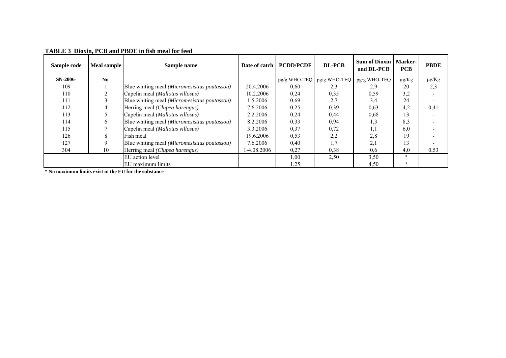| Sample code | Meal sample | Sample name                                  | Date of catch | <b>PCDD/PCDF</b> | <b>DL-PCB</b> | <b>Sum of Dioxin</b><br>and DL-PCB           | <b>Marker-</b><br><b>PCB</b> | <b>PBDE</b> |
|-------------|-------------|----------------------------------------------|---------------|------------------|---------------|----------------------------------------------|------------------------------|-------------|
| $SN-2006-$  | No.         |                                              |               |                  |               | $pg/g$ WHO-TEQ $pg/g$ WHO-TEQ $pg/g$ WHO-TEQ | $\mu g/Kg$                   | $\mu$ g/Kg  |
| 109         |             | Blue whiting meal (Micromesistius poutassou) | 20.4.2006     | 0.60             | 2,3           | 2.9                                          | 20                           | 2,3         |
| 110         |             | Capelin meal (Mallotus villosus)             | 10.2.2006     | 0,24             | 0,35          | 0,59                                         | 3,2                          |             |
| 111         |             | Blue whiting meal (Micromesistius poutassou) | 1.5.2006      | 0.69             | 2.7           | 3,4                                          | 24                           |             |
| 112         |             | Herring meal (Clupea harengus)               | 7.6.2006      | 0,25             | 0,39          | 0,63                                         | 4,2                          | 0,41        |
| 113         |             | Capelin meal (Mallotus villosus)             | 2.2.2006      | 0,24             | 0,44          | 0.68                                         | د ،                          |             |
| 114         | h           | Blue whiting meal (Micromesistius poutassou) | 8.2.2006      | 0,33             | 0.94          | $\cdot$ , 3                                  | 8,3                          |             |
| 115         |             | Capelin meal (Mallotus villosus)             | 3.3.2006      | 0,37             | 0.72          | $\ldots$                                     | 6.0                          |             |
| 126         | 8           | Fish meal                                    | 19.6.2006     | 0,53             | 2,2           | 2,8                                          | 19                           |             |
| 127         | 9           | Blue whiting meal (Micromesistius poutassou) | 7.6.2006      | 0,40             |               | 2,1                                          | 13                           |             |
| 304         | 10          | Herring meal (Clupea harengus)               | 1-4.08.2006   | 0,27             | 0.38          | 0.6                                          | 4,0                          | 0,53        |
|             |             | EU action level                              |               | 1,00             | 2,50          | 3,50                                         |                              |             |
|             |             | EU maximum limits                            |               | 1,25             |               | 4,50                                         |                              |             |

**TABLE 3 Dioxin, PCB and PBDE in fish meal for feed**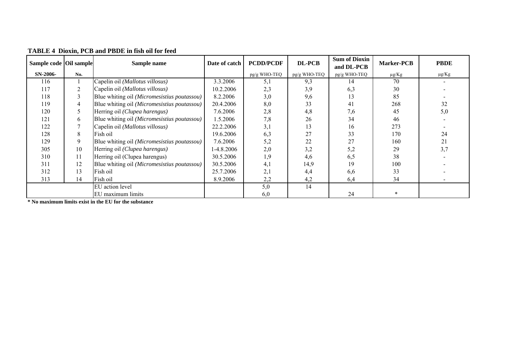| Sample code Oil sample |     | Sample name                                 | Date of catch | <b>PCDD/PCDF</b> | <b>DL-PCB</b> | <b>Sum of Dioxin</b><br>and DL-PCB | <b>Marker-PCB</b> | <b>PBDE</b> |
|------------------------|-----|---------------------------------------------|---------------|------------------|---------------|------------------------------------|-------------------|-------------|
| $SN-2006-$             | No. |                                             |               | pg/g WHO-TEQ     | pg/g WHO-TEQ  | pg/g WHO-TEQ                       | $\mu$ g/Kg        | $\mu$ g/Kg  |
| 116                    |     | Capelin oil (Mallotus villosus)             | 3.3.2006      | 5,1              | 9,3           | 14                                 | 70                |             |
| 117                    | 2   | Capelin oil (Mallotus villosus)             | 10.2.2006     | 2,3              | 3,9           | 6,3                                | 30                |             |
| 118                    | 3   | Blue whiting oil (Micromesistius poutassou) | 8.2.2006      | 3,0              | 9,6           | 13                                 | 85                |             |
| 119                    | 4   | Blue whiting oil (Micromesistius poutassou) | 20.4.2006     | 8,0              | 33            | 41                                 | 268               | 32          |
| 120                    |     | Herring oil (Clupea harengus)               | 7.6.2006      | 2,8              | 4,8           | 7,6                                | 45                | 5,0         |
| 121                    | 6   | Blue whiting oil (Micromesistius poutassou) | .5.2006       | 7,8              | 26            | 34                                 | 46                |             |
| 122                    |     | Capelin oil (Mallotus villosus)             | 22.2.2006     | 3,1              | 13            | 16                                 | 273               |             |
| 128                    | 8   | Fish oil                                    | 19.6.2006     | 6,3              | 27            | 33                                 | 170               | 24          |
| 129                    | 9   | Blue whiting oil (Micromesistius poutassou) | 7.6.2006      | 5,2              | 22            | 27                                 | 160               | 21          |
| 305                    | 10  | Herring oil (Clupea harengus)               | 1-4.8.2006    | 2,0              | 3,2           | 5,2                                | 29                | 3,7         |
| 310                    | 11  | Herring oil (Clupea harengus)               | 30.5.2006     | 1,9              | 4,6           | 6,5                                | 38                |             |
| 311                    | 12  | Blue whiting oil (Micromesistius poutassou) | 30.5.2006     | 4,1              | 14,9          | 19                                 | 100               |             |
| 312                    | 13  | Fish oil                                    | 25.7.2006     | 2,1              | 4,4           | 6,6                                | 33                |             |
| 313                    | 14  | Fish oil                                    | 8.9.2006      | 2,2              | 4,2           | 6,4                                | 34                |             |
|                        |     | EU action level                             |               | 5,0              | 14            |                                    |                   |             |
|                        |     | EU maximum limits                           |               | 6,0              |               | 24                                 |                   |             |

**TABLE 4 Dioxin, PCB and PBDE in fish oil for feed**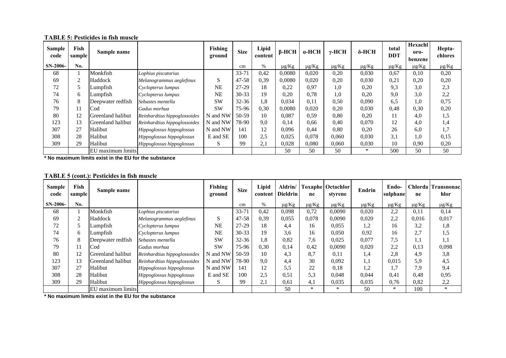| <b>Sample</b><br>code | Fish<br>sample | Sample name       |                              | Fishing<br>ground | <b>Size</b> | Lipid<br>content | $\beta$ -HCH | $\alpha$ -HCH | $\gamma$ -HCH | $\delta$ -HCH | total<br>DDT | <b>Hexachl</b><br>oro-<br>benzene | Hepta-<br>chlores |
|-----------------------|----------------|-------------------|------------------------------|-------------------|-------------|------------------|--------------|---------------|---------------|---------------|--------------|-----------------------------------|-------------------|
| SN-2006-              | No.            |                   |                              |                   | cm          | $\%$             | $\mu g/Kg$   | $\mu$ g/Kg    | $\mu g/Kg$    | $\mu$ g/Kg    | $\mu$ g/Kg   | $\mu g/Kg$                        | $\mu$ g/Kg        |
| 68                    |                | Monkfish          | Lophius piscatorius          |                   | $33 - 71$   | 0,42             | 0,0080       | 0,020         | 0,20          | 0,030         | 0.67         | 0,10                              | 0,20              |
| 69                    | 2              | Haddock           | Melanogrammus aeglefinus     | S                 | $47 - 58$   | 0,39             | 0.0080       | 0,020         | 0,20          | 0,030         | 0,21         | 0,20                              | 0,20              |
| 72                    | 5              | Lumpfish          | Cyclopterus lumpus           | <b>NE</b>         | $27-29$     | 18               | 0,22         | 0,97          | 1,0           | 0.20          | 9.3          | 3.0                               | 2,3               |
| 74                    | 6              | Lumpfish          | Cyclopterus lumpus           | <b>NE</b>         | $30 - 33$   | 19               | 0,20         | 0,78          | 1,0           | 0,20          | 9.0          | 3,0                               | 2,2               |
| 76                    | 8              | Deepwater redfish | Sebastes mentella            | <b>SW</b>         | $32 - 36$   | 1,8              | 0,034        | 0,11          | 0.50          | 0,090         | 6.5          | 1,0                               | 0,75              |
| 79                    | 11             | Cod               | Gadus morhua                 | <b>SW</b>         | 75-96       | 0,30             | 0,0080       | 0,020         | 0,20          | 0,030         | 0,48         | 0,30                              | 0,20              |
| 80                    | 12             | Greenland halibut | Reinhardtius hippoglossoides | N and NW          | $50-59$     | 10               | 0,087        | 0.59          | 0.80          | 0.20          | $\perp$      | 4.0                               | 1,5               |
| 123                   | 13             | Greenland halibut | Reinhardtius hippoglossoides | N and NW          | 78-90       | 9.0              | 0,14         | 0.66          | 0,40          | 0,070         | 12           | 4.0                               | 1,4               |
| 307                   | 27             | Halibut           | Hippoglossus hippoglossus    | N and NW          | 141         | 12               | 0,096        | 0,44          | 0.80          | 0.20          | 26           | 6,0                               | 1,7               |
| 308                   | 28             | Halibut           | Hippoglossus hippoglossus    | E and SE          | 100         | 2.5              | 0,025        | 0,078         | 0,060         | 0,030         | 3,1          | 0.1                               | 0,15              |
| 309                   | 29             | Halibut           | Hippoglossus hippoglossus    | S                 | 99          | 2,1              | 0,028        | 0,080         | 0,060         | 0,030         | 10           | 0.90                              | 0,20              |
|                       |                | EU maximum limits |                              |                   |             |                  | 50           | 50            | 50            | $\ast$        | 500          | 50                                | 50                |

**TABLE 5: Pesticides in fish muscle**

|  |  | <b>TABLE 5 (cont.): Pesticides in fish muscle</b> |  |  |
|--|--|---------------------------------------------------|--|--|
|--|--|---------------------------------------------------|--|--|

| <b>Sample</b><br>code | Fish<br>sample | Sample name       |                              | <b>Fishing</b><br>ground | <b>Size</b> | Lipid | Aldrin/<br>content   Dieldrin | ne         | <b>Toxaphe Octachlor</b><br>styrene | Endrin     | Endo-<br>sulphane | ne         | Chlorda Transnonac<br>hlor |
|-----------------------|----------------|-------------------|------------------------------|--------------------------|-------------|-------|-------------------------------|------------|-------------------------------------|------------|-------------------|------------|----------------------------|
| SN-2006-              | No.            |                   |                              |                          | cm          | $\%$  | $\mu g/Kg$                    | $\mu g/Kg$ | $\mu g/Kg$                          | $\mu g/Kg$ | $\mu g/Kg$        | $\mu$ g/Kg | $\mu\hbox{g}/K\hbox{g}$    |
| 68                    |                | Monkfish          | Lophius piscatorius          |                          | 33-71       | 0,42  | 0,098                         | 0,72       | 0,0090                              | 0,020      | 2,2               | 0,11       | 0,14                       |
| 69                    | 2              | Haddock           | Melanogrammus aeglefinus     | S                        | $47 - 58$   | 0,39  | 0,055                         | 0,078      | 0,0090                              | 0,020      | 2,2               | 0,016      | 0,017                      |
| 72                    | 5              | Lumpfish          | Cyclopterus lumpus           | NE                       | $27-29$     | 18    | 4,4                           | 16         | 0,055                               | 1,2        | 16                | 3,2        | 1,8                        |
| 74                    | 6              | Lumpfish          | Cyclopterus lumpus           | NE                       | $30 - 33$   | 19    | 3,6                           | 16         | 0,050                               | 0,92       | 16                | 2,7        | 1,5                        |
| 76                    | 8              | Deepwater redfish | Sebastes mentella            | <b>SW</b>                | $32 - 36$   | 1,8   | 0,82                          | 7,6        | 0,025                               | 0,077      | 7,5               | 1,1        | 1,1                        |
| 79                    | 11             | Cod               | Gadus morhua                 | <b>SW</b>                | 75-96       | 0,30  | 0,14                          | 0,42       | 0,0090                              | 0,020      | 2,2               | 0.13       | 0,098                      |
| 80                    | 12             | Greenland halibut | Reinhardtius hippoglossoides | N and NW                 | 50-59       | 10    | 4,3                           | 8.7        | 0,11                                | 1,4        | 2,8               | 4.9        | 3,8                        |
| 123                   | 13             | Greenland halibut | Reinhardtius hippoglossoides | N and NW                 | 78-90       | 9.0   | 4,4                           | 30         | 0,092                               | 1,1        | 0,015             | 5.9        | 4,5                        |
| 307                   | 27             | Halibut           | Hippoglossus hippoglossus    | N and NW                 | 141         | 12    | 5,5                           | 22         | 0.18                                | 1,2        | 1,7               | 7.9        | 9,4                        |
| 308                   | 28             | Halibut           | Hippoglossus hippoglossus    | E and SE                 | 100         | 2.5   | 0,51                          | 5.3        | 0,048                               | 0,044      | 0.41              | 0,48       | 0,95                       |
| 309                   | 29             | Halibut           | Hippoglossus hippoglossus    | S                        | 99          | 2,1   | 0,61                          | 4,1        | 0,035                               | 0,035      | 0,76              | 0,82       | 2,2                        |
|                       |                | EU maximum limits |                              |                          |             |       | 50                            | $\ast$     | $\ast$                              | 50         | $\ast$            | 100        | $*$                        |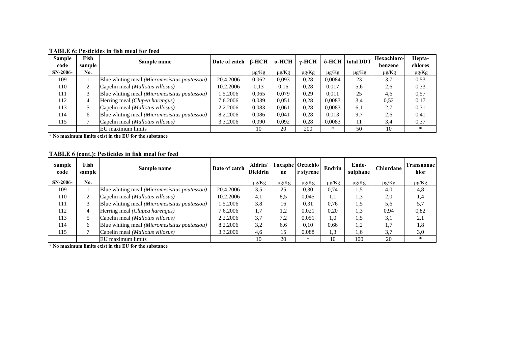| <b>Sample</b><br>code | Fish<br>sample | Sample name                                  | Date of catch | B-HCH      | $\alpha$ -HCH | γ-HCH      |            | <b>δ-HCH</b> total DDT | <b>Hexachloro-</b><br>benzene | Hepta-<br>chlores |
|-----------------------|----------------|----------------------------------------------|---------------|------------|---------------|------------|------------|------------------------|-------------------------------|-------------------|
| $SN-2006-$            | No.            |                                              |               | $\mu$ g/Kg | $\mu$ g/Kg    | $\mu$ g/Kg | $\mu$ g/Kg | $\mu$ g/Kg             | $\mu$ g/Kg                    | $\mu$ g/Kg        |
| 109                   |                | Blue whiting meal (Micromesistius poutassou) | 20.4.2006     | 0,062      | 0,093         | 0,28       | 0,0084     | 23                     | 3,7                           | 0.53              |
| 110                   |                | Capelin meal (Mallotus villosus)             | 10.2.2006     | 0.13       | 0,16          | 0,28       | 0,017      | 5,6                    | 2.6                           | 0.33              |
| 111                   |                | Blue whiting meal (Micromesistius poutassou) | 1.5.2006      | 0,065      | 0,079         | 0,29       | 0,011      | 25                     | 4,6                           | 0,57              |
| 112                   |                | Herring meal (Clupea harengus)               | 7.6.2006      | 0,039      | 0.051         | 0,28       | 0,0083     | 3.4                    | 0,52                          | 0,17              |
| 113                   |                | Capelin meal (Mallotus villosus)             | 2.2.2006      | 0,083      | 0,061         | 0,28       | 0,0083     | 6,1                    | 2,7                           | 0.31              |
| 114                   | 6              | Blue whiting meal (Micromesistius poutassou) | 8.2.2006      | 0,086      | 0.041         | 0,28       | 0.013      | 9.7                    | 2.6                           | 0,41              |
| 115                   |                | Capelin meal (Mallotus villosus)             | 3.3.2006      | 0,090      | 0,092         | 0,28       | 0.0083     | 11                     | 3,4                           | 0,37              |
|                       |                | EU maximum limits                            |               | 10         | 20            | 200        | $\ast$     | 50                     | 10                            | $\ast$            |

**TABLE 6: Pesticides in fish meal for feed**

## **TABLE 6 (cont.): Pesticides in fish meal for feed**

| <b>Sample</b><br>code | Fish<br>sample | Sample name                                         | Date of catch | Aldrin/<br><b>Dieldrin</b> | ne         | <b>Toxaphe   Octachlo</b><br>r styrene | Endrin     | Endo-<br>sulphane | <b>Chlordane</b> | Transnonac l<br>hlor |
|-----------------------|----------------|-----------------------------------------------------|---------------|----------------------------|------------|----------------------------------------|------------|-------------------|------------------|----------------------|
| $SN-2006-$            | No.            |                                                     |               | $\mu$ g/Kg                 | $\mu$ g/Kg | $\mu$ g/Kg                             | $\mu$ g/Kg | $\mu$ g/Kg        | $\mu$ g/Kg       | $\mu$ g/Kg           |
| 109                   |                | Blue whiting meal <i>(Micromesistius poutassou)</i> | 20.4.2006     | 3,5                        | 25         | 0.30                                   | 0.74       | 1,5               | 4,0              | 4,8                  |
| 110                   |                | Capelin meal (Mallotus villosus)                    | 10.2.2006     | 4,1                        | 8.5        | 0.045                                  | 1.1        | 1,3               | 2,0              | 1,4                  |
| 111                   |                | Blue whiting meal (Micromesistius poutassou)        | 1.5.2006      | 3,8                        | 16         | 0.31                                   | 0.76       | 1.5               | 5,6              | 5,7                  |
| 112                   |                | Herring meal (Clupea harengus)                      | 7.6.2006      | 1,7                        | 1,2        | 0.021                                  | 0,20       | 1,3               | 0.94             | 0,82                 |
| 113                   |                | Capelin meal (Mallotus villosus)                    | 2.2.2006      | 3.7                        | 7.2        | 0.051                                  | 1.0        | 1.5               | 3.1              | 2,1                  |
| 114                   | h.             | Blue whiting meal (Micromesistius poutassou)        | 8.2.2006      | 3,2                        | 6.6        | 0.10                                   | 0,66       | 1.2               | 1,7              | 1,8                  |
| 115                   |                | Capelin meal ( <i>Mallotus villosus</i> )           | 3.3.2006      | 4,6                        | 15         | 0.088                                  | 1.3        | 1.6               | 3.7              | 3,0                  |
|                       |                | EU maximum limits                                   |               | 10                         | 20         | $\ast$                                 | 10         | 100               | 20               | $\ast$               |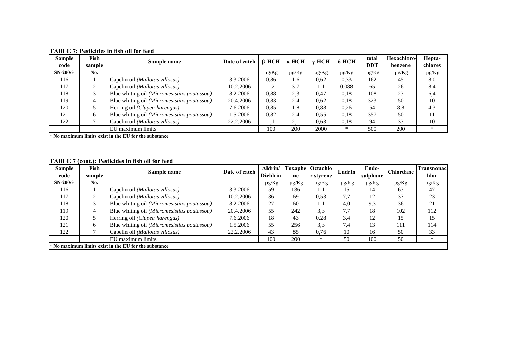| Sample<br>code | Fish<br>sample | Sample name                                 | Date of catch 1 | β-HCH      | α-HCH      | γ-HCH      | $\delta$ -HCH | total<br>DDT | Hexachloro-<br>benzene | Hepta-<br>chlores |
|----------------|----------------|---------------------------------------------|-----------------|------------|------------|------------|---------------|--------------|------------------------|-------------------|
| $SN-2006-$     | No.            |                                             |                 | $\mu$ g/Kg | $\mu$ g/Kg | $\mu g/Kg$ | $\mu$ g/Kg    | $\mu$ g/Kg   | $\mu$ g/Kg             | $\mu$ g/Kg        |
| 116            |                | Capelin oil (Mallotus villosus)             | 3.3.2006        | 0,86       | 1,6        | 0,62       | 0.33          | 162          | 45                     | 8,0               |
| 117            |                | Capelin oil (Mallotus villosus)             | 10.2.2006       | 1,2        | 3,7        | 1,1        | 0,088         | 65           | 26                     | 8,4               |
| 118            |                | Blue whiting oil (Micromesistius poutassou) | 8.2.2006        | 0,88       | 2.3        | 0,47       | 0.18          | 108          | 23                     | 6,4               |
| 119            | 4              | Blue whiting oil (Micromesistius poutassou) | 20.4.2006       | 0,83       | 2.4        | 0.62       | 0,18          | 323          | 50                     | 10                |
| 120            |                | Herring oil (Clupea harengus)               | 7.6.2006        | 0,85       | 1.8        | 0,88       | 0.26          | 54           | 8.8                    | 4,3               |
| 121            | 6              | Blue whiting oil (Micromesistius poutassou) | 1.5.2006        | 0,82       | 2.4        | 0,55       | 0.18          | 357          | 50                     |                   |
| 122            |                | Capelin oil (Mallotus villosus)             | 22.2.2006       | 1,1        | $\angle 1$ | 0,63       | 0,18          | 94           | 33                     | 10                |
|                |                | EU maximum limits                           |                 | 100        | 200        | 2000       | $\ast$        | 500          | 200                    | $\ast$            |

**TABLE 7: Pesticides in fish oil for feed**

## **TABLE 7 (cont.): Pesticides in fish oil for feed**

| <b>Sample</b><br>code                               | Fish<br>sample | Sample name                                 | Date of catch | Aldrin/<br>Dieldrin | ne         | <b>Toxaphe Octachlo</b><br>r styrene | Endrin     | Endo-<br>sulphane | Chlordane  | l`ransnonac<br>hlor |  |
|-----------------------------------------------------|----------------|---------------------------------------------|---------------|---------------------|------------|--------------------------------------|------------|-------------------|------------|---------------------|--|
| SN-2006-                                            | No.            |                                             |               | $\mu$ g/Kg          | $\mu$ g/Kg | $\mu$ g/Kg                           | $\mu$ g/Kg | $\mu$ g/Kg        | $\mu$ g/Kg | $\mu g/Kg$          |  |
| 116                                                 |                | Capelin oil (Mallotus villosus)             | 3.3.2006      | 59                  | 136        | 1,1                                  | 15         | 14                | 63         | 47                  |  |
| 117                                                 |                | Capelin oil (Mallotus villosus)             | 10.2.2006     | 36                  | 69         | 0,53                                 | 7.7        | 12                | 37         | 23                  |  |
| 118                                                 |                | Blue whiting oil (Micromesistius poutassou) | 8.2.2006      | 27                  | 60         | 1.1                                  | 4.0        | 9.3               | 36         | 21                  |  |
| 119                                                 | 4              | Blue whiting oil (Micromesistius poutassou) | 20.4.2006     | 55                  | 242        | 3.3                                  | 7.7        | 18                | 102        | 112                 |  |
| 120                                                 |                | Herring oil (Clupea harengus)               | 7.6.2006      | 18                  | 43         | 0,28                                 | 3.4        | 12                | 15         | 15                  |  |
| 121                                                 | 6              | Blue whiting oil (Micromesistius poutassou) | 1.5.2006      | 55                  | 256        | 3.3                                  | 7.4        | 13                | 111        | 114                 |  |
| 122                                                 |                | Capelin oil (Mallotus villosus)             | 22.2.2006     | 43                  | 85         | 0,76                                 | 10         | 16                | 50         | 33                  |  |
|                                                     |                | EU maximum limits                           |               | 100                 | 200        | $\ast$                               | 50         | 100               | 50         | *                   |  |
| No maximum limits exist in the EU for the substance |                |                                             |               |                     |            |                                      |            |                   |            |                     |  |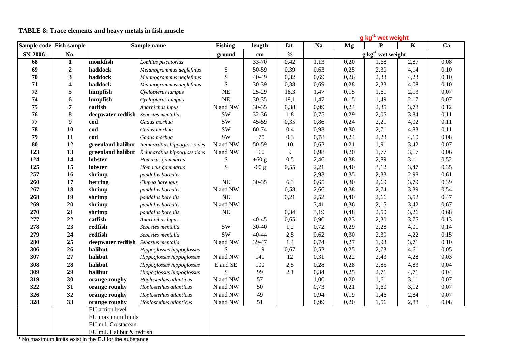|             |                           |                    |                              |                                      | g kg <sup>-1</sup> wet weight |               |                        |      |           |             |      |
|-------------|---------------------------|--------------------|------------------------------|--------------------------------------|-------------------------------|---------------|------------------------|------|-----------|-------------|------|
| Sample code | <b>Fish sample</b>        | Sample name        |                              | <b>Fishing</b>                       | length                        | fat           | <b>Na</b>              | Mg   | ${\bf P}$ | $\mathbf K$ | Ca   |
| SN-2006-    | No.                       |                    |                              | ground                               | $\mathbf{cm}$                 | $\frac{0}{0}$ | $g kg^{-1}$ wet weight |      |           |             |      |
| 68          | $\mathbf{1}$              | monkfish           | Lophius piscatorius          |                                      | 33-70                         | 0,42          | 1,13                   | 0,20 | 1,68      | 2,87        | 0,08 |
| 69          | $\boldsymbol{2}$          | haddock            | Melanogrammus aeglefinus     | ${\bf S}$                            | 50-59                         | 0,39          | 0,63                   | 0,25 | 2,30      | 4,14        | 0,10 |
| 70          | 3                         | haddock            | Melanogrammus aeglefinus     | ${\bf S}$                            | 40-49                         | 0,32          | 0,69                   | 0,26 | 2,33      | 4,23        | 0,10 |
| 71          | 4                         | haddock            | Melanogrammus aeglefinus     | $\mathbf S$                          | 30-39                         | 0,38          | 0,69                   | 0,28 | 2,33      | 4,08        | 0,10 |
| 72          | 5                         | lumpfish           | Cyclopterus lumpus           | NE                                   | $25-29$                       | 18,3          | 1,47                   | 0,15 | 1,61      | 2,13        | 0,07 |
| 74          | 6                         | lumpfish           | Cyclopterus lumpus           | NE                                   | $30 - 35$                     | 19,1          | 1,47                   | 0,15 | 1,49      | 2,17        | 0,07 |
| 75          | 7                         | catfish            | Anarhichas lupus             | $\mathbf N$ and $\mathbf N\mathbf W$ | 30-35                         | 0,38          | 0,99                   | 0,24 | 2,35      | 3,78        | 0,12 |
| 76          | ${\bf 8}$                 | deepwater redfish  | Sebastes mentalla            | <b>SW</b>                            | 32-36                         | 1,8           | 0,75                   | 0,29 | 2,05      | 3,84        | 0,11 |
| 77          | 9                         | cod                | Gadus morhua                 | <b>SW</b>                            | 45-59                         | 0,35          | 0,86                   | 0,24 | 2,21      | 4,02        | 0,11 |
| 78          | 10                        | cod                | Gadus morhua                 | <b>SW</b>                            | 60-74                         | 0,4           | 0,93                   | 0,30 | 2,71      | 4,83        | 0,11 |
| 79          | 11                        | cod                | Gadus morhua                 | <b>SW</b>                            | $+75$                         | 0,3           | 0,78                   | 0,24 | 2,23      | 4,10        | 0,08 |
| 80          | 12                        | greenland halibut  | Reinhardtius hippoglossoides | N and NW                             | 50-59                         | 10            | 0,62                   | 0,21 | 1,91      | 3,42        | 0,07 |
| 123         | 13                        | greenland halibut  | Reinhardtius hippoglossoides | N and NW                             | $+60$                         | 9             | 0,98                   | 0,20 | 1,77      | 3,17        | 0,06 |
| 124         | 14                        | lobster            | Homarus gammarus             | S                                    | $+60$ g                       | 0,5           | 2,46                   | 0,38 | 2,89      | 3,11        | 0,52 |
| 125         | 15                        | lobster            | Homarus gammarus             | S                                    | $-60$ g                       | 0,55          | 2,21                   | 0,40 | 3,12      | 3,47        | 0,35 |
| 257         | 16                        | shrimp             | pandalus borealis            |                                      |                               |               | 2,93                   | 0,35 | 2,33      | 2,98        | 0,61 |
| 260         | 17                        | herring            | Clupea harengus              | NE                                   | 30-35                         | 6,3           | 0,65                   | 0,30 | 2,69      | 3,79        | 0,39 |
| 267         | 18                        | shrimp             | pandalus borealis            | N and NW                             |                               | 0,58          | 2,66                   | 0,38 | 2,74      | 3,39        | 0,54 |
| 268         | 19                        | shrimp             | pandalus borealis            | <b>NE</b>                            |                               | 0,21          | 2,52                   | 0,40 | 2,66      | 3,52        | 0,47 |
| 269         | 20                        | shrimp             | pandalus borealis            | N and NW                             |                               |               | 3,41                   | 0,36 | 2,15      | 3,42        | 0,67 |
| 270         | 21                        | shrimp             | pandalus borealis            | <b>NE</b>                            |                               | 0,34          | 3,19                   | 0,48 | 2,50      | 3,26        | 0,68 |
| 277         | 22                        | catfish            | Anarhichas lupus             |                                      | $40 - 45$                     | 0,65          | 0,90                   | 0,23 | 2,30      | 3,75        | 0,13 |
| 278         | 23                        | redfish            | Sebastes mentalla            | <b>SW</b>                            | $30 - 40$                     | 1,2           | 0,72                   | 0,29 | 2,28      | 4,01        | 0,14 |
| 279         | 24                        | redfish            | Sebastes mentalla            | <b>SW</b>                            | 40-44                         | 2,5           | 0,62                   | 0,30 | 2,39      | 4,22        | 0,15 |
| 280         | 25                        | deepwater redfish  | Sebastes mentalla            | N and NW                             | 39-47                         | 1,4           | 0,74                   | 0,27 | 1,93      | 3,71        | 0,10 |
| 306         | 26                        | halibut            | Hippoglossus hippoglossus    | S                                    | 119                           | 0,67          | 0,52                   | 0,25 | 2,73      | 4,61        | 0,05 |
| 307         | $27\,$                    | halibut            | Hippoglossus hippoglossus    | N and NW                             | 141                           | 12            | 0,31                   | 0,22 | 2,43      | 4,28        | 0,03 |
| 308         | 28                        | halibut            | Hippoglossus hippoglossus    | E and SE                             | 100                           | 2,5           | 0,28                   | 0,28 | 2,85      | 4,83        | 0,04 |
| 309         | 29                        | halibut            | Hippoglossus hippoglossus    | S                                    | 99                            | 2,1           | 0,34                   | 0,25 | 2,71      | 4,71        | 0,04 |
| 319         | 30                        | orange roughy      | Hoplostethus atlanticus      | N and NW                             | 57                            |               | 1,00                   | 0,20 | 1,61      | 3,11        | 0,07 |
| 322         | 31                        | orange roughy      | Hoplostethus atlanticus      | N and NW                             | 50                            |               | 0,73                   | 0,21 | 1,60      | 3,12        | 0,07 |
| 326         | 32                        | orange roughy      | Hoplostethus atlanticus      | N and NW                             | 49                            |               | 0,94                   | 0,19 | 1,46      | 2,84        | 0,07 |
| 328         | 33                        | orange roughy      | Hoplostethus atlanticus      | N and NW                             | 51                            |               | 0,99                   | 0,20 | 1,56      | 2,88        | 0,08 |
|             |                           | EU action level    |                              |                                      |                               |               |                        |      |           |             |      |
|             |                           | EU maximum limits  |                              |                                      |                               |               |                        |      |           |             |      |
|             |                           | EU m.l. Crustacean |                              |                                      |                               |               |                        |      |           |             |      |
|             | EU m.l. Halibut & redfish |                    |                              |                                      |                               |               |                        |      |           |             |      |

## **TABLE 8: Trace elements and heavy metals in fish muscle**